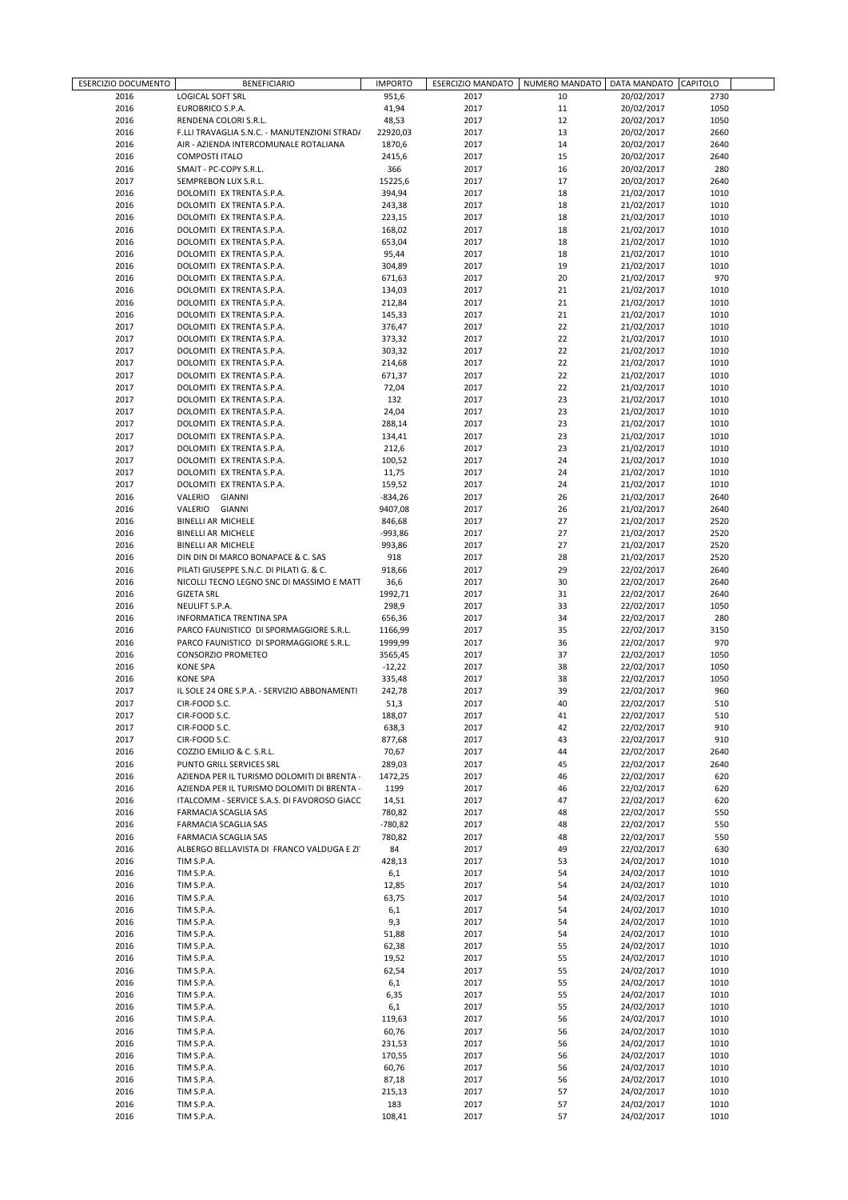| ESERCIZIO DOCUMENTO |                                                                                       | <b>IMPORTO</b> | <b>ESERCIZIO MANDATO</b> | NUMERO MANDATO | DATA MANDATO | <b>CAPITOLO</b> |  |
|---------------------|---------------------------------------------------------------------------------------|----------------|--------------------------|----------------|--------------|-----------------|--|
| 2016                | <b>BENEFICIARIO</b><br><b>LOGICAL SOFT SRL</b>                                        | 951,6          | 2017                     | 10             | 20/02/2017   | 2730            |  |
| 2016                | EUROBRICO S.P.A.                                                                      | 41,94          | 2017                     | 11             | 20/02/2017   | 1050            |  |
| 2016                | RENDENA COLORI S.R.L.                                                                 | 48,53          | 2017                     | 12             | 20/02/2017   | 1050            |  |
| 2016                |                                                                                       | 22920,03       |                          | 13             | 20/02/2017   | 2660            |  |
| 2016                | F.LLI TRAVAGLIA S.N.C. - MANUTENZIONI STRAD/<br>AIR - AZIENDA INTERCOMUNALE ROTALIANA | 1870.6         | 2017<br>2017             | 14             | 20/02/2017   | 2640            |  |
| 2016                | <b>COMPOSTE ITALO</b>                                                                 | 2415,6         | 2017                     | 15             | 20/02/2017   | 2640            |  |
|                     |                                                                                       | 366            |                          | 16             |              |                 |  |
| 2016                | SMAIT - PC-COPY S.R.L.                                                                |                | 2017                     |                | 20/02/2017   | 280             |  |
| 2017                | SEMPREBON LUX S.R.L.                                                                  | 15225,6        | 2017                     | 17             | 20/02/2017   | 2640            |  |
| 2016                | DOLOMITI EX TRENTA S.P.A.                                                             | 394,94         | 2017                     | 18             | 21/02/2017   | 1010            |  |
| 2016                | DOLOMITI EX TRENTA S.P.A.                                                             | 243,38         | 2017                     | 18             | 21/02/2017   | 1010            |  |
| 2016                | DOLOMITI EX TRENTA S.P.A.                                                             | 223,15         | 2017                     | 18             | 21/02/2017   | 1010            |  |
| 2016                | DOLOMITI EX TRENTA S.P.A.                                                             | 168,02         | 2017                     | 18             | 21/02/2017   | 1010            |  |
| 2016                | DOLOMITI EX TRENTA S.P.A.                                                             | 653,04         | 2017                     | 18             | 21/02/2017   | 1010            |  |
| 2016                | DOLOMITI EX TRENTA S.P.A.                                                             | 95,44          | 2017                     | 18             | 21/02/2017   | 1010            |  |
| 2016                | DOLOMITI EX TRENTA S.P.A.                                                             | 304,89         | 2017                     | 19             | 21/02/2017   | 1010            |  |
| 2016                | DOLOMITI EX TRENTA S.P.A.                                                             | 671,63         | 2017                     | 20             | 21/02/2017   | 970             |  |
| 2016                | DOLOMITI EX TRENTA S.P.A.                                                             | 134,03         | 2017                     | 21             | 21/02/2017   | 1010            |  |
| 2016                | DOLOMITI EX TRENTA S.P.A.                                                             | 212,84         | 2017                     | 21             | 21/02/2017   | 1010            |  |
| 2016                | DOLOMITI EX TRENTA S.P.A.                                                             | 145,33         | 2017                     | 21             | 21/02/2017   | 1010            |  |
| 2017                | DOLOMITI EX TRENTA S.P.A.                                                             | 376,47         | 2017                     | 22             | 21/02/2017   | 1010            |  |
| 2017                | DOLOMITI EX TRENTA S.P.A.                                                             | 373,32         | 2017                     | 22             | 21/02/2017   | 1010            |  |
| 2017                | DOLOMITI EX TRENTA S.P.A.                                                             | 303,32         | 2017                     | 22             | 21/02/2017   | 1010            |  |
| 2017                | DOLOMITI EX TRENTA S.P.A.                                                             | 214,68         | 2017                     | 22             | 21/02/2017   | 1010            |  |
| 2017                | DOLOMITI EX TRENTA S.P.A.                                                             | 671,37         | 2017                     | 22             | 21/02/2017   | 1010            |  |
| 2017                | DOLOMITI EX TRENTA S.P.A.                                                             | 72,04          | 2017                     | 22             | 21/02/2017   | 1010            |  |
| 2017                | DOLOMITI EX TRENTA S.P.A.                                                             | 132            | 2017                     | 23             | 21/02/2017   | 1010            |  |
| 2017                | DOLOMITI EX TRENTA S.P.A.                                                             | 24,04          | 2017                     | 23             | 21/02/2017   | 1010            |  |
| 2017                | DOLOMITI EX TRENTA S.P.A.                                                             | 288,14         | 2017                     | 23             | 21/02/2017   | 1010            |  |
| 2017                | DOLOMITI EX TRENTA S.P.A.                                                             | 134,41         | 2017                     | 23             | 21/02/2017   | 1010            |  |
| 2017                | DOLOMITI EX TRENTA S.P.A.                                                             | 212,6          | 2017                     | 23             | 21/02/2017   | 1010            |  |
| 2017                | DOLOMITI EX TRENTA S.P.A.                                                             | 100,52         | 2017                     | 24             | 21/02/2017   | 1010            |  |
| 2017                | DOLOMITI EX TRENTA S.P.A.                                                             | 11,75          | 2017                     | 24             | 21/02/2017   | 1010            |  |
| 2017                | DOLOMITI EX TRENTA S.P.A.                                                             | 159,52         | 2017                     | 24             | 21/02/2017   | 1010            |  |
| 2016                | VALERIO GIANNI                                                                        | $-834,26$      | 2017                     | 26             | 21/02/2017   | 2640            |  |
| 2016                | VALERIO GIANNI                                                                        | 9407,08        | 2017                     | 26             | 21/02/2017   | 2640            |  |
| 2016                | <b>BINELLI AR MICHELE</b>                                                             | 846,68         | 2017                     | 27             | 21/02/2017   | 2520            |  |
| 2016                | <b>BINELLI AR MICHELE</b>                                                             | -993,86        | 2017                     | 27             | 21/02/2017   | 2520            |  |
| 2016                | <b>BINELLI AR MICHELE</b>                                                             | 993,86         | 2017                     | 27             | 21/02/2017   | 2520            |  |
| 2016                | DIN DIN DI MARCO BONAPACE & C. SAS                                                    | 918            | 2017                     | 28             | 21/02/2017   | 2520            |  |
| 2016                | PILATI GIUSEPPE S.N.C. DI PILATI G. & C.                                              | 918,66         | 2017                     | 29             | 22/02/2017   | 2640            |  |
| 2016                | NICOLLI TECNO LEGNO SNC DI MASSIMO E MATT                                             | 36,6           | 2017                     | 30             | 22/02/2017   | 2640            |  |
| 2016                | <b>GIZETA SRL</b>                                                                     | 1992,71        | 2017                     | 31             | 22/02/2017   | 2640            |  |
| 2016                | NEULIFT S.P.A.                                                                        | 298,9          | 2017                     | 33             | 22/02/2017   | 1050            |  |
| 2016                |                                                                                       |                |                          | 34             | 22/02/2017   | 280             |  |
|                     | INFORMATICA TRENTINA SPA                                                              | 656,36         | 2017                     |                |              |                 |  |
| 2016                | PARCO FAUNISTICO DI SPORMAGGIORE S.R.L.                                               | 1166,99        | 2017                     | 35             | 22/02/2017   | 3150            |  |
| 2016                | PARCO FAUNISTICO DI SPORMAGGIORE S.R.L.                                               | 1999,99        | 2017                     | 36             | 22/02/2017   | 970             |  |
| 2016                | CONSORZIO PROMETEO                                                                    | 3565,45        | 2017                     | 37             | 22/02/2017   | 1050            |  |
| 2016                | <b>KONE SPA</b>                                                                       | $-12,22$       | 2017                     | 38             | 22/02/2017   | 1050            |  |
| 2016                | <b>KONE SPA</b>                                                                       | 335,48         | 2017                     | 38             | 22/02/2017   | 1050            |  |
| 2017                | IL SOLE 24 ORE S.P.A. - SERVIZIO ABBONAMENTI                                          | 242,78         | 2017                     | 39             | 22/02/2017   | 960             |  |
| 2017                | CIR-FOOD S.C.                                                                         | 51,3           | 2017                     | 40             | 22/02/2017   | 510             |  |
| 2017                | CIR-FOOD S.C.                                                                         | 188,07         | 2017                     | 41             | 22/02/2017   | 510             |  |
| 2017                | CIR-FOOD S.C.                                                                         | 638,3          | 2017                     | 42             | 22/02/2017   | 910             |  |
| 2017                | CIR-FOOD S.C.                                                                         | 877,68         | 2017                     | 43             | 22/02/2017   | 910             |  |
| 2016                | COZZIO EMILIO & C. S.R.L.                                                             | 70,67          | 2017                     | 44             | 22/02/2017   | 2640            |  |
| 2016                | PUNTO GRILL SERVICES SRL                                                              | 289,03         | 2017                     | 45             | 22/02/2017   | 2640            |  |
| 2016                | AZIENDA PER IL TURISMO DOLOMITI DI BRENTA -                                           | 1472,25        | 2017                     | 46             | 22/02/2017   | 620             |  |
| 2016                | AZIENDA PER IL TURISMO DOLOMITI DI BRENTA -                                           | 1199           | 2017                     | 46             | 22/02/2017   | 620             |  |
| 2016                | ITALCOMM - SERVICE S.A.S. DI FAVOROSO GIACC                                           | 14,51          | 2017                     | 47             | 22/02/2017   | 620             |  |
| 2016                | FARMACIA SCAGLIA SAS                                                                  | 780,82         | 2017                     | 48             | 22/02/2017   | 550             |  |
| 2016                | FARMACIA SCAGLIA SAS                                                                  | $-780,82$      | 2017                     | 48             | 22/02/2017   | 550             |  |
| 2016                | FARMACIA SCAGLIA SAS                                                                  | 780,82         | 2017                     | 48             | 22/02/2017   | 550             |  |
| 2016                | ALBERGO BELLAVISTA DI FRANCO VALDUGA E ZI'                                            | 84             | 2017                     | 49             | 22/02/2017   | 630             |  |
| 2016                | TIM S.P.A.                                                                            | 428,13         | 2017                     | 53             | 24/02/2017   | 1010            |  |
| 2016                | TIM S.P.A.                                                                            | 6,1            | 2017                     | 54             | 24/02/2017   | 1010            |  |
| 2016                | TIM S.P.A.                                                                            | 12,85          | 2017                     | 54             | 24/02/2017   | 1010            |  |
| 2016                | TIM S.P.A.                                                                            | 63,75          | 2017                     | 54             | 24/02/2017   | 1010            |  |
| 2016                | TIM S.P.A.                                                                            | 6,1            | 2017                     | 54             | 24/02/2017   | 1010            |  |
| 2016                | TIM S.P.A.                                                                            | 9,3            | 2017                     | 54             | 24/02/2017   | 1010            |  |
| 2016                | TIM S.P.A.                                                                            | 51,88          | 2017                     | 54             | 24/02/2017   | 1010            |  |
| 2016                | TIM S.P.A.                                                                            | 62,38          | 2017                     | 55             | 24/02/2017   | 1010            |  |
| 2016                | TIM S.P.A.                                                                            | 19,52          | 2017                     | 55             | 24/02/2017   | 1010            |  |
| 2016                | TIM S.P.A.                                                                            | 62,54          | 2017                     | 55             | 24/02/2017   | 1010            |  |
| 2016                | TIM S.P.A.                                                                            | 6,1            | 2017                     | 55             | 24/02/2017   | 1010            |  |
| 2016                | TIM S.P.A.                                                                            | 6,35           | 2017                     | 55             | 24/02/2017   | 1010            |  |
| 2016                | TIM S.P.A.                                                                            | 6,1            | 2017                     | 55             | 24/02/2017   | 1010            |  |
| 2016                | TIM S.P.A.                                                                            | 119,63         | 2017                     | 56             | 24/02/2017   | 1010            |  |
| 2016                | TIM S.P.A.                                                                            | 60,76          | 2017                     | 56             | 24/02/2017   | 1010            |  |
| 2016                | TIM S.P.A.                                                                            | 231,53         | 2017                     | 56             | 24/02/2017   | 1010            |  |
| 2016                | TIM S.P.A.                                                                            | 170,55         | 2017                     | 56             | 24/02/2017   | 1010            |  |
| 2016                | TIM S.P.A.                                                                            | 60,76          | 2017                     | 56             | 24/02/2017   | 1010            |  |
| 2016                | TIM S.P.A.                                                                            | 87,18          | 2017                     | 56             | 24/02/2017   | 1010            |  |
| 2016                | TIM S.P.A.                                                                            | 215,13         | 2017                     | 57             | 24/02/2017   | 1010            |  |
| 2016                | TIM S.P.A.                                                                            | 183            | 2017                     | 57             | 24/02/2017   | 1010            |  |
| 2016                | TIM S.P.A.                                                                            | 108,41         | 2017                     | 57             | 24/02/2017   | 1010            |  |
|                     |                                                                                       |                |                          |                |              |                 |  |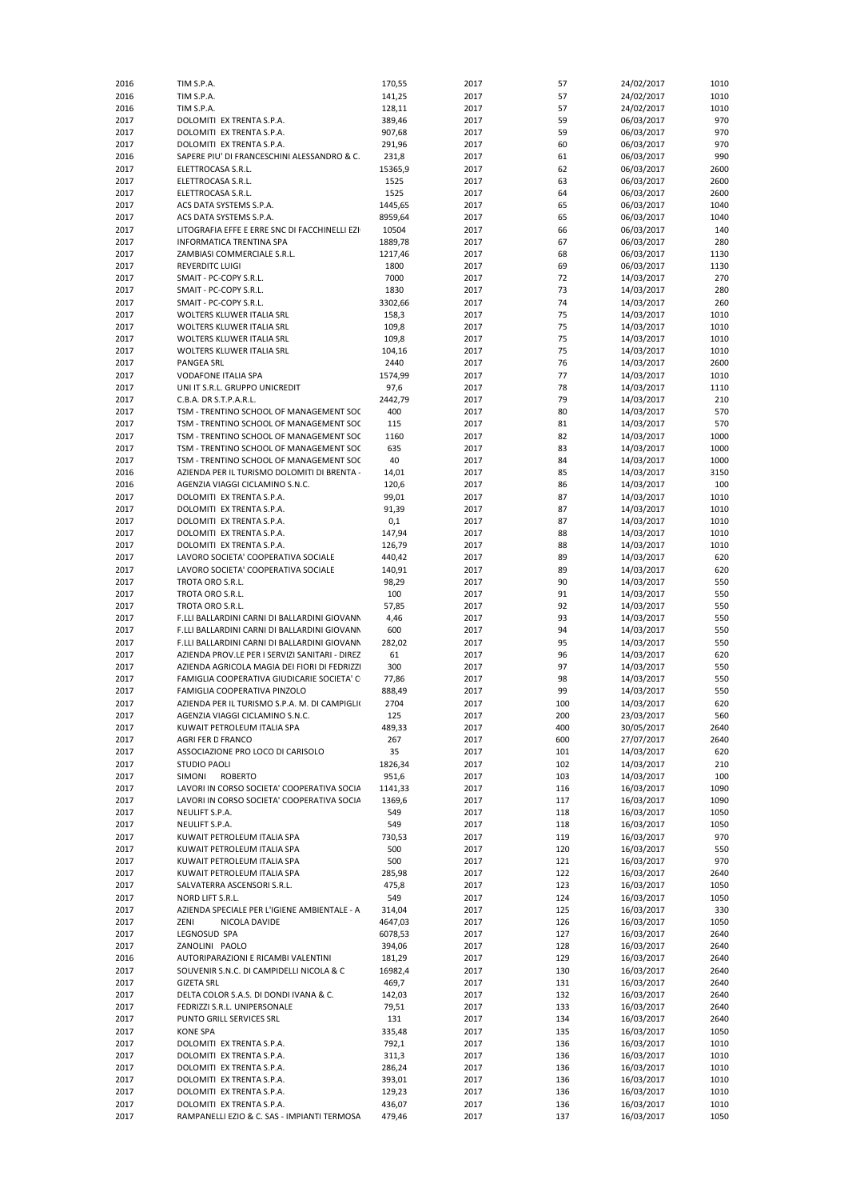| 2016 | TIM S.P.A.                                     | 170,55  | 2017 | 57  | 24/02/2017 | 1010 |
|------|------------------------------------------------|---------|------|-----|------------|------|
| 2016 | TIM S.P.A.                                     | 141,25  | 2017 | 57  | 24/02/2017 | 1010 |
| 2016 | TIM S.P.A.                                     | 128,11  | 2017 | 57  | 24/02/2017 | 1010 |
|      |                                                |         |      |     |            |      |
| 2017 | DOLOMITI EX TRENTA S.P.A.                      | 389,46  | 2017 | 59  | 06/03/2017 | 970  |
| 2017 | DOLOMITI EX TRENTA S.P.A.                      | 907,68  | 2017 | 59  | 06/03/2017 | 970  |
| 2017 | DOLOMITI EX TRENTA S.P.A.                      | 291,96  | 2017 | 60  | 06/03/2017 | 970  |
| 2016 | SAPERE PIU' DI FRANCESCHINI ALESSANDRO & C.    | 231,8   | 2017 | 61  | 06/03/2017 | 990  |
| 2017 | ELETTROCASA S.R.L.                             | 15365,9 | 2017 | 62  | 06/03/2017 | 2600 |
|      |                                                |         |      |     |            |      |
| 2017 | ELETTROCASA S.R.L.                             | 1525    | 2017 | 63  | 06/03/2017 | 2600 |
| 2017 | ELETTROCASA S.R.L.                             | 1525    | 2017 | 64  | 06/03/2017 | 2600 |
| 2017 | ACS DATA SYSTEMS S.P.A.                        | 1445,65 | 2017 | 65  | 06/03/2017 | 1040 |
| 2017 | ACS DATA SYSTEMS S.P.A.                        | 8959,64 | 2017 | 65  | 06/03/2017 | 1040 |
|      |                                                |         |      |     |            |      |
| 2017 | LITOGRAFIA EFFE E ERRE SNC DI FACCHINELLI EZI  | 10504   | 2017 | 66  | 06/03/2017 | 140  |
| 2017 | INFORMATICA TRENTINA SPA                       | 1889,78 | 2017 | 67  | 06/03/2017 | 280  |
| 2017 | ZAMBIASI COMMERCIALE S.R.L.                    | 1217,46 | 2017 | 68  | 06/03/2017 | 1130 |
| 2017 | <b>REVERDITC LUIGI</b>                         | 1800    | 2017 | 69  | 06/03/2017 | 1130 |
| 2017 | SMAIT - PC-COPY S.R.L.                         | 7000    | 2017 | 72  |            | 270  |
|      |                                                |         |      |     | 14/03/2017 |      |
| 2017 | SMAIT - PC-COPY S.R.L.                         | 1830    | 2017 | 73  | 14/03/2017 | 280  |
| 2017 | SMAIT - PC-COPY S.R.L.                         | 3302,66 | 2017 | 74  | 14/03/2017 | 260  |
| 2017 | WOLTERS KLUWER ITALIA SRL                      | 158,3   | 2017 | 75  | 14/03/2017 | 1010 |
| 2017 | WOLTERS KLUWER ITALIA SRL                      | 109,8   | 2017 | 75  | 14/03/2017 | 1010 |
|      |                                                |         |      |     |            |      |
| 2017 | WOLTERS KLUWER ITALIA SRL                      | 109,8   | 2017 | 75  | 14/03/2017 | 1010 |
| 2017 | WOLTERS KLUWER ITALIA SRL                      | 104,16  | 2017 | 75  | 14/03/2017 | 1010 |
| 2017 | <b>PANGEA SRL</b>                              | 2440    | 2017 | 76  | 14/03/2017 | 2600 |
| 2017 | VODAFONE ITALIA SPA                            | 1574,99 | 2017 | 77  | 14/03/2017 | 1010 |
| 2017 | UNI IT S.R.L. GRUPPO UNICREDIT                 | 97,6    | 2017 | 78  |            | 1110 |
|      |                                                |         |      |     | 14/03/2017 |      |
| 2017 | C.B.A. DR S.T.P.A.R.L.                         | 2442,79 | 2017 | 79  | 14/03/2017 | 210  |
| 2017 | TSM - TRENTINO SCHOOL OF MANAGEMENT SOC        | 400     | 2017 | 80  | 14/03/2017 | 570  |
| 2017 | TSM - TRENTINO SCHOOL OF MANAGEMENT SOC        | 115     | 2017 | 81  | 14/03/2017 | 570  |
| 2017 | TSM - TRENTINO SCHOOL OF MANAGEMENT SOC        | 1160    | 2017 | 82  | 14/03/2017 | 1000 |
|      |                                                |         |      |     |            |      |
| 2017 | TSM - TRENTINO SCHOOL OF MANAGEMENT SOC        | 635     | 2017 | 83  | 14/03/2017 | 1000 |
| 2017 | TSM - TRENTINO SCHOOL OF MANAGEMENT SOC        | 40      | 2017 | 84  | 14/03/2017 | 1000 |
| 2016 | AZIENDA PER IL TURISMO DOLOMITI DI BRENTA -    | 14,01   | 2017 | 85  | 14/03/2017 | 3150 |
| 2016 | AGENZIA VIAGGI CICLAMINO S.N.C.                |         | 2017 | 86  | 14/03/2017 | 100  |
|      |                                                | 120,6   |      |     |            |      |
| 2017 | DOLOMITI EX TRENTA S.P.A.                      | 99,01   | 2017 | 87  | 14/03/2017 | 1010 |
| 2017 | DOLOMITI EX TRENTA S.P.A.                      | 91,39   | 2017 | 87  | 14/03/2017 | 1010 |
| 2017 | DOLOMITI EX TRENTA S.P.A.                      | 0,1     | 2017 | 87  | 14/03/2017 | 1010 |
| 2017 | DOLOMITI EX TRENTA S.P.A.                      | 147,94  | 2017 | 88  | 14/03/2017 | 1010 |
|      |                                                |         |      |     |            |      |
| 2017 | DOLOMITI EX TRENTA S.P.A.                      | 126,79  | 2017 | 88  | 14/03/2017 | 1010 |
| 2017 | LAVORO SOCIETA' COOPERATIVA SOCIALE            | 440,42  | 2017 | 89  | 14/03/2017 | 620  |
| 2017 | LAVORO SOCIETA' COOPERATIVA SOCIALE            | 140,91  | 2017 | 89  | 14/03/2017 | 620  |
| 2017 | TROTA ORO S.R.L.                               | 98,29   | 2017 | 90  | 14/03/2017 | 550  |
|      |                                                |         |      |     |            |      |
| 2017 | TROTA ORO S.R.L.                               | 100     | 2017 | 91  | 14/03/2017 | 550  |
| 2017 | TROTA ORO S.R.L.                               | 57,85   | 2017 | 92  | 14/03/2017 | 550  |
| 2017 | F.LLI BALLARDINI CARNI DI BALLARDINI GIOVANN   | 4,46    | 2017 | 93  | 14/03/2017 | 550  |
| 2017 | F.LLI BALLARDINI CARNI DI BALLARDINI GIOVANN   | 600     | 2017 | 94  | 14/03/2017 | 550  |
|      |                                                |         |      |     |            |      |
| 2017 | F.LLI BALLARDINI CARNI DI BALLARDINI GIOVANN   | 282,02  | 2017 | 95  | 14/03/2017 | 550  |
| 2017 | AZIENDA PROV.LE PER I SERVIZI SANITARI - DIREZ | 61      | 2017 | 96  | 14/03/2017 | 620  |
| 2017 | AZIENDA AGRICOLA MAGIA DEI FIORI DI FEDRIZZI   | 300     | 2017 | 97  | 14/03/2017 | 550  |
| 2017 | FAMIGLIA COOPERATIVA GIUDICARIE SOCIETA' C     | 77,86   | 2017 | 98  | 14/03/2017 | 550  |
|      |                                                |         |      |     |            |      |
| 2017 | FAMIGLIA COOPERATIVA PINZOLO                   | 888,49  | 2017 | 99  | 14/03/2017 | 550  |
| 2017 | AZIENDA PER IL TURISMO S.P.A. M. DI CAMPIGLI(  | 2704    | 2017 | 100 | 14/03/2017 | 620  |
| 2017 | AGENZIA VIAGGI CICLAMINO S.N.C.                | 125     | 2017 | 200 | 23/03/2017 | 560  |
| 2017 | KUWAIT PETROLEUM ITALIA SPA                    | 489,33  | 2017 | 400 | 30/05/2017 | 2640 |
| 2017 | AGRI FER D FRANCO                              | 267     | 2017 | 600 | 27/07/2017 | 2640 |
|      |                                                |         |      |     |            |      |
| 2017 | ASSOCIAZIONE PRO LOCO DI CARISOLO              | 35      | 2017 | 101 | 14/03/2017 | 620  |
| 2017 | <b>STUDIO PAOLI</b>                            | 1826,34 | 2017 | 102 | 14/03/2017 | 210  |
| 2017 | <b>ROBERTO</b><br><b>SIMONI</b>                | 951,6   | 2017 | 103 | 14/03/2017 | 100  |
| 2017 | LAVORI IN CORSO SOCIETA' COOPERATIVA SOCIA     | 1141,33 | 2017 | 116 | 16/03/2017 | 1090 |
|      |                                                |         |      |     |            |      |
| 2017 | LAVORI IN CORSO SOCIETA' COOPERATIVA SOCIA     | 1369,6  | 2017 | 117 | 16/03/2017 | 1090 |
| 2017 | NEULIFT S.P.A.                                 | 549     | 2017 | 118 | 16/03/2017 | 1050 |
| 2017 | NEULIFT S.P.A.                                 | 549     | 2017 | 118 | 16/03/2017 | 1050 |
| 2017 | KUWAIT PETROLEUM ITALIA SPA                    | 730,53  | 2017 | 119 | 16/03/2017 | 970  |
| 2017 | KUWAIT PETROLEUM ITALIA SPA                    | 500     | 2017 | 120 | 16/03/2017 | 550  |
|      |                                                |         |      |     |            |      |
| 2017 | KUWAIT PETROLEUM ITALIA SPA                    | 500     | 2017 | 121 | 16/03/2017 | 970  |
| 2017 | KUWAIT PETROLEUM ITALIA SPA                    | 285,98  | 2017 | 122 | 16/03/2017 | 2640 |
| 2017 | SALVATERRA ASCENSORI S.R.L.                    | 475,8   | 2017 | 123 | 16/03/2017 | 1050 |
| 2017 | NORD LIFT S.R.L.                               | 549     | 2017 | 124 | 16/03/2017 | 1050 |
|      |                                                |         |      |     |            |      |
| 2017 | AZIENDA SPECIALE PER L'IGIENE AMBIENTALE - A   | 314,04  | 2017 | 125 | 16/03/2017 | 330  |
| 2017 | ZENI<br>NICOLA DAVIDE                          | 4647,03 | 2017 | 126 | 16/03/2017 | 1050 |
| 2017 | LEGNOSUD SPA                                   | 6078,53 | 2017 | 127 | 16/03/2017 | 2640 |
| 2017 | ZANOLINI PAOLO                                 | 394,06  | 2017 | 128 | 16/03/2017 | 2640 |
| 2016 | AUTORIPARAZIONI E RICAMBI VALENTINI            | 181,29  | 2017 | 129 | 16/03/2017 | 2640 |
|      |                                                |         |      |     |            |      |
| 2017 | SOUVENIR S.N.C. DI CAMPIDELLI NICOLA & C       | 16982,4 | 2017 | 130 | 16/03/2017 | 2640 |
| 2017 | <b>GIZETA SRL</b>                              | 469,7   | 2017 | 131 | 16/03/2017 | 2640 |
| 2017 | DELTA COLOR S.A.S. DI DONDI IVANA & C.         | 142,03  | 2017 | 132 | 16/03/2017 | 2640 |
| 2017 | FEDRIZZI S.R.L. UNIPERSONALE                   | 79,51   | 2017 | 133 | 16/03/2017 | 2640 |
|      |                                                |         |      |     |            |      |
| 2017 | PUNTO GRILL SERVICES SRL                       | 131     | 2017 | 134 | 16/03/2017 | 2640 |
| 2017 | <b>KONE SPA</b>                                | 335,48  | 2017 | 135 | 16/03/2017 | 1050 |
| 2017 | DOLOMITI EX TRENTA S.P.A.                      | 792,1   | 2017 | 136 | 16/03/2017 | 1010 |
| 2017 | DOLOMITI EX TRENTA S.P.A.                      | 311,3   | 2017 | 136 | 16/03/2017 | 1010 |
|      |                                                |         |      |     |            |      |
| 2017 | DOLOMITI EX TRENTA S.P.A.                      | 286,24  | 2017 | 136 | 16/03/2017 | 1010 |
| 2017 | DOLOMITI EX TRENTA S.P.A.                      | 393,01  | 2017 | 136 | 16/03/2017 | 1010 |
| 2017 | DOLOMITI EX TRENTA S.P.A.                      | 129,23  | 2017 | 136 | 16/03/2017 | 1010 |
| 2017 | DOLOMITI EX TRENTA S.P.A.                      | 436,07  | 2017 | 136 | 16/03/2017 | 1010 |
| 2017 | RAMPANELLI EZIO & C. SAS - IMPIANTI TERMOSA    | 479,46  | 2017 | 137 | 16/03/2017 | 1050 |
|      |                                                |         |      |     |            |      |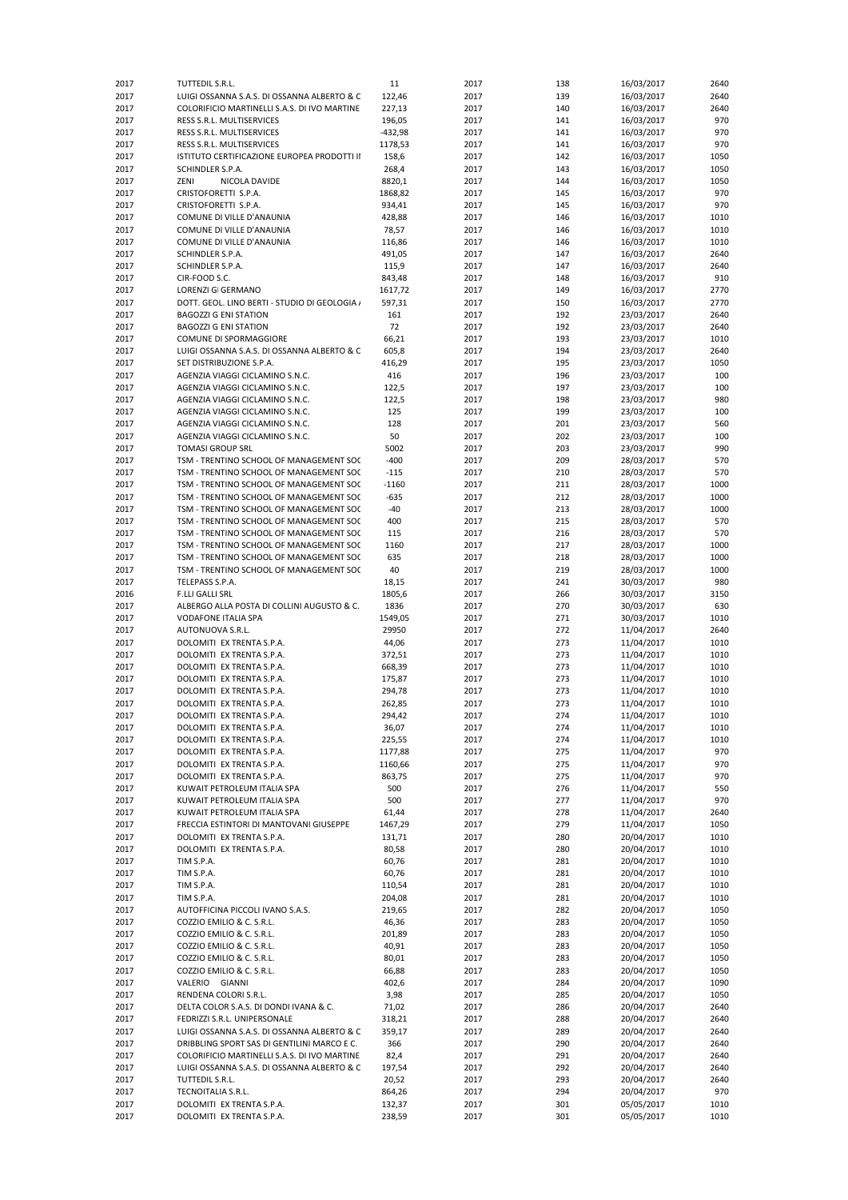| 2017 | TUTTEDIL S.R.L.                               | 11        | 2017 | 138 | 16/03/2017 | 2640 |
|------|-----------------------------------------------|-----------|------|-----|------------|------|
| 2017 | LUIGI OSSANNA S.A.S. DI OSSANNA ALBERTO & C   | 122,46    | 2017 | 139 | 16/03/2017 | 2640 |
| 2017 | COLORIFICIO MARTINELLI S.A.S. DI IVO MARTINE  | 227,13    | 2017 | 140 | 16/03/2017 | 2640 |
| 2017 | RESS S.R.L. MULTISERVICES                     | 196,05    | 2017 | 141 | 16/03/2017 | 970  |
|      |                                               |           |      |     |            |      |
| 2017 | RESS S.R.L. MULTISERVICES                     | $-432,98$ | 2017 | 141 | 16/03/2017 | 970  |
| 2017 | RESS S.R.L. MULTISERVICES                     | 1178,53   | 2017 | 141 | 16/03/2017 | 970  |
| 2017 | ISTITUTO CERTIFICAZIONE EUROPEA PRODOTTI II   | 158,6     | 2017 | 142 | 16/03/2017 | 1050 |
| 2017 | SCHINDLER S.P.A.                              | 268,4     | 2017 | 143 | 16/03/2017 | 1050 |
| 2017 | ZENI<br>NICOLA DAVIDE                         | 8820,1    | 2017 | 144 | 16/03/2017 | 1050 |
| 2017 | CRISTOFORETTI S.P.A.                          | 1868,82   | 2017 | 145 | 16/03/2017 | 970  |
| 2017 | CRISTOFORETTI S.P.A.                          | 934,41    | 2017 | 145 | 16/03/2017 | 970  |
| 2017 | COMUNE DI VILLE D'ANAUNIA                     | 428,88    | 2017 | 146 | 16/03/2017 | 1010 |
| 2017 | COMUNE DI VILLE D'ANAUNIA                     | 78,57     | 2017 | 146 | 16/03/2017 | 1010 |
|      |                                               |           |      |     |            | 1010 |
| 2017 | COMUNE DI VILLE D'ANAUNIA                     | 116,86    | 2017 | 146 | 16/03/2017 |      |
| 2017 | SCHINDLER S.P.A.                              | 491,05    | 2017 | 147 | 16/03/2017 | 2640 |
| 2017 | SCHINDLER S.P.A.                              | 115,9     | 2017 | 147 | 16/03/2017 | 2640 |
| 2017 | CIR-FOOD S.C.                                 | 843,48    | 2017 | 148 | 16/03/2017 | 910  |
| 2017 | <b>LORENZI GI GERMANO</b>                     | 1617,72   | 2017 | 149 | 16/03/2017 | 2770 |
| 2017 | DOTT. GEOL. LINO BERTI - STUDIO DI GEOLOGIA / | 597,31    | 2017 | 150 | 16/03/2017 | 2770 |
| 2017 | <b>BAGOZZI G ENI STATION</b>                  | 161       | 2017 | 192 | 23/03/2017 | 2640 |
| 2017 | <b>BAGOZZI G ENI STATION</b>                  | 72        | 2017 | 192 | 23/03/2017 | 2640 |
| 2017 | COMUNE DI SPORMAGGIORE                        | 66,21     | 2017 | 193 | 23/03/2017 | 1010 |
| 2017 | LUIGI OSSANNA S.A.S. DI OSSANNA ALBERTO & C   | 605,8     | 2017 | 194 | 23/03/2017 | 2640 |
| 2017 | SET DISTRIBUZIONE S.P.A.                      | 416,29    | 2017 | 195 | 23/03/2017 | 1050 |
|      |                                               |           |      |     |            |      |
| 2017 | AGENZIA VIAGGI CICLAMINO S.N.C.               | 416       | 2017 | 196 | 23/03/2017 | 100  |
| 2017 | AGENZIA VIAGGI CICLAMINO S.N.C.               | 122,5     | 2017 | 197 | 23/03/2017 | 100  |
| 2017 | AGENZIA VIAGGI CICLAMINO S.N.C.               | 122,5     | 2017 | 198 | 23/03/2017 | 980  |
| 2017 | AGENZIA VIAGGI CICLAMINO S.N.C.               | 125       | 2017 | 199 | 23/03/2017 | 100  |
| 2017 | AGENZIA VIAGGI CICLAMINO S.N.C.               | 128       | 2017 | 201 | 23/03/2017 | 560  |
| 2017 | AGENZIA VIAGGI CICLAMINO S.N.C.               | 50        | 2017 | 202 | 23/03/2017 | 100  |
| 2017 | <b>TOMASI GROUP SRL</b>                       | 5002      | 2017 | 203 | 23/03/2017 | 990  |
| 2017 | TSM - TRENTINO SCHOOL OF MANAGEMENT SOC       | $-400$    | 2017 | 209 | 28/03/2017 | 570  |
| 2017 | TSM - TRENTINO SCHOOL OF MANAGEMENT SOC       | $-115$    | 2017 | 210 | 28/03/2017 | 570  |
|      |                                               |           |      |     |            |      |
| 2017 | TSM - TRENTINO SCHOOL OF MANAGEMENT SOC       | $-1160$   | 2017 | 211 | 28/03/2017 | 1000 |
| 2017 | TSM - TRENTINO SCHOOL OF MANAGEMENT SOC       | $-635$    | 2017 | 212 | 28/03/2017 | 1000 |
| 2017 | TSM - TRENTINO SCHOOL OF MANAGEMENT SOC       | $-40$     | 2017 | 213 | 28/03/2017 | 1000 |
| 2017 | TSM - TRENTINO SCHOOL OF MANAGEMENT SOC       | 400       | 2017 | 215 | 28/03/2017 | 570  |
| 2017 | TSM - TRENTINO SCHOOL OF MANAGEMENT SOC       | 115       | 2017 | 216 | 28/03/2017 | 570  |
| 2017 | TSM - TRENTINO SCHOOL OF MANAGEMENT SOC       | 1160      | 2017 | 217 | 28/03/2017 | 1000 |
| 2017 | TSM - TRENTINO SCHOOL OF MANAGEMENT SOC       | 635       | 2017 | 218 | 28/03/2017 | 1000 |
| 2017 | TSM - TRENTINO SCHOOL OF MANAGEMENT SOC       | 40        | 2017 | 219 | 28/03/2017 | 1000 |
|      | TELEPASS S.P.A.                               |           | 2017 | 241 |            | 980  |
| 2017 |                                               | 18,15     |      |     | 30/03/2017 |      |
| 2016 | <b>F.LLI GALLI SRL</b>                        | 1805,6    | 2017 | 266 | 30/03/2017 | 3150 |
| 2017 | ALBERGO ALLA POSTA DI COLLINI AUGUSTO & C.    | 1836      | 2017 | 270 | 30/03/2017 | 630  |
| 2017 | <b>VODAFONE ITALIA SPA</b>                    | 1549,05   | 2017 | 271 | 30/03/2017 | 1010 |
| 2017 | AUTONUOVA S.R.L.                              | 29950     | 2017 | 272 | 11/04/2017 | 2640 |
| 2017 | DOLOMITI EX TRENTA S.P.A.                     | 44,06     | 2017 | 273 | 11/04/2017 | 1010 |
| 2017 | DOLOMITI EX TRENTA S.P.A.                     | 372,51    | 2017 | 273 | 11/04/2017 | 1010 |
| 2017 | DOLOMITI EX TRENTA S.P.A.                     | 668,39    | 2017 | 273 | 11/04/2017 | 1010 |
| 2017 | DOLOMITI EX TRENTA S.P.A.                     | 175,87    | 2017 | 273 | 11/04/2017 | 1010 |
| 2017 | DOLOMITI EX TRENTA S.P.A.                     | 294,78    | 2017 | 273 | 11/04/2017 | 1010 |
| 2017 | DOLOMITI EX TRENTA S.P.A                      | 262,85    | 2017 | 273 | 11/04/2017 | 1010 |
|      |                                               |           |      |     |            |      |
| 2017 | DOLOMITI EX TRENTA S.P.A.                     | 294,42    | 2017 | 274 | 11/04/2017 | 1010 |
| 2017 | DOLOMITI EX TRENTA S.P.A.                     | 36,07     | 2017 | 274 | 11/04/2017 | 1010 |
| 2017 | DOLOMITI EX TRENTA S.P.A.                     | 225,55    | 2017 | 274 | 11/04/2017 | 1010 |
| 2017 | DOLOMITI EX TRENTA S.P.A.                     | 1177,88   | 2017 | 275 | 11/04/2017 | 970  |
| 2017 | DOLOMITI EX TRENTA S.P.A.                     | 1160,66   | 2017 | 275 | 11/04/2017 | 970  |
| 2017 | DOLOMITI EX TRENTA S.P.A.                     | 863,75    | 2017 | 275 | 11/04/2017 | 970  |
| 2017 | KUWAIT PETROLEUM ITALIA SPA                   | 500       | 2017 | 276 | 11/04/2017 | 550  |
| 2017 | KUWAIT PETROLEUM ITALIA SPA                   | 500       | 2017 | 277 | 11/04/2017 | 970  |
| 2017 | KUWAIT PETROLEUM ITALIA SPA                   | 61,44     | 2017 | 278 | 11/04/2017 | 2640 |
| 2017 | FRECCIA ESTINTORI DI MANTOVANI GIUSEPPE       | 1467,29   | 2017 | 279 | 11/04/2017 | 1050 |
| 2017 | DOLOMITI EX TRENTA S.P.A.                     | 131,71    | 2017 | 280 | 20/04/2017 | 1010 |
|      |                                               |           |      |     |            |      |
| 2017 | DOLOMITI EX TRENTA S.P.A.                     | 80,58     | 2017 | 280 | 20/04/2017 | 1010 |
| 2017 | TIM S.P.A.                                    | 60,76     | 2017 | 281 | 20/04/2017 | 1010 |
| 2017 | TIM S.P.A.                                    | 60,76     | 2017 | 281 | 20/04/2017 | 1010 |
| 2017 | TIM S.P.A.                                    | 110,54    | 2017 | 281 | 20/04/2017 | 1010 |
| 2017 | TIM S.P.A.                                    | 204,08    | 2017 | 281 | 20/04/2017 | 1010 |
| 2017 | AUTOFFICINA PICCOLI IVANO S.A.S.              | 219,65    | 2017 | 282 | 20/04/2017 | 1050 |
| 2017 | COZZIO EMILIO & C. S.R.L.                     | 46,36     | 2017 | 283 | 20/04/2017 | 1050 |
| 2017 | COZZIO EMILIO & C. S.R.L.                     | 201,89    | 2017 | 283 | 20/04/2017 | 1050 |
| 2017 | COZZIO EMILIO & C. S.R.L.                     | 40,91     | 2017 | 283 | 20/04/2017 | 1050 |
| 2017 | COZZIO EMILIO & C. S.R.L.                     | 80,01     | 2017 | 283 | 20/04/2017 | 1050 |
|      |                                               |           |      |     |            |      |
| 2017 | COZZIO EMILIO & C. S.R.L.                     | 66,88     | 2017 | 283 | 20/04/2017 | 1050 |
| 2017 | VALERIO GIANNI                                | 402,6     | 2017 | 284 | 20/04/2017 | 1090 |
| 2017 | RENDENA COLORI S.R.L.                         | 3,98      | 2017 | 285 | 20/04/2017 | 1050 |
| 2017 | DELTA COLOR S.A.S. DI DONDI IVANA & C.        | 71,02     | 2017 | 286 | 20/04/2017 | 2640 |
| 2017 | FEDRIZZI S.R.L. UNIPERSONALE                  | 318,21    | 2017 | 288 | 20/04/2017 | 2640 |
| 2017 | LUIGI OSSANNA S.A.S. DI OSSANNA ALBERTO & C   | 359,17    | 2017 | 289 | 20/04/2017 | 2640 |
| 2017 | DRIBBLING SPORT SAS DI GENTILINI MARCO E C.   | 366       | 2017 | 290 | 20/04/2017 | 2640 |
| 2017 | COLORIFICIO MARTINELLI S.A.S. DI IVO MARTINE  | 82,4      | 2017 | 291 | 20/04/2017 | 2640 |
| 2017 | LUIGI OSSANNA S.A.S. DI OSSANNA ALBERTO & C   | 197,54    | 2017 | 292 | 20/04/2017 | 2640 |
| 2017 | TUTTEDIL S.R.L.                               | 20,52     | 2017 | 293 | 20/04/2017 | 2640 |
|      |                                               |           |      |     |            |      |
| 2017 | TECNOITALIA S.R.L.                            | 864,26    | 2017 | 294 | 20/04/2017 | 970  |
| 2017 | DOLOMITI EX TRENTA S.P.A.                     | 132,37    | 2017 | 301 | 05/05/2017 | 1010 |
| 2017 | DOLOMITI EX TRENTA S.P.A.                     | 238,59    | 2017 | 301 | 05/05/2017 | 1010 |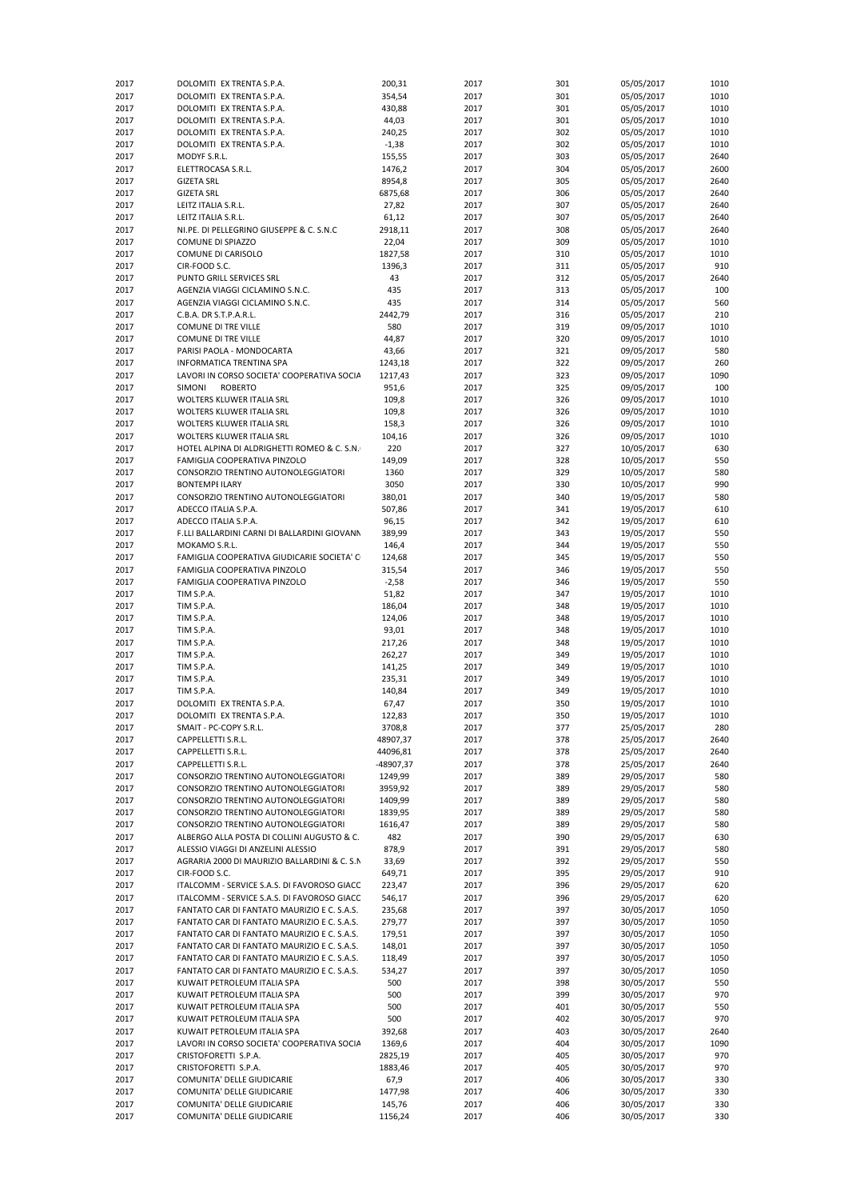| 2017 | DOLOMITI EX TRENTA S.P.A.                    | 200,31    | 2017 | 301 | 05/05/2017 | 1010 |
|------|----------------------------------------------|-----------|------|-----|------------|------|
| 2017 | DOLOMITI EX TRENTA S.P.A.                    | 354,54    | 2017 | 301 | 05/05/2017 | 1010 |
| 2017 | DOLOMITI EX TRENTA S.P.A.                    | 430,88    | 2017 | 301 | 05/05/2017 | 1010 |
| 2017 | DOLOMITI EX TRENTA S.P.A.                    | 44,03     | 2017 | 301 | 05/05/2017 | 1010 |
| 2017 | DOLOMITI EX TRENTA S.P.A.                    | 240,25    | 2017 | 302 | 05/05/2017 | 1010 |
| 2017 | DOLOMITI EX TRENTA S.P.A.                    | $-1,38$   | 2017 | 302 | 05/05/2017 | 1010 |
| 2017 | MODYF S.R.L.                                 | 155,55    | 2017 | 303 | 05/05/2017 | 2640 |
| 2017 | ELETTROCASA S.R.L.                           | 1476,2    | 2017 | 304 | 05/05/2017 | 2600 |
| 2017 | <b>GIZETA SRL</b>                            | 8954,8    | 2017 | 305 | 05/05/2017 | 2640 |
|      |                                              |           |      |     |            |      |
| 2017 | <b>GIZETA SRL</b>                            | 6875,68   | 2017 | 306 | 05/05/2017 | 2640 |
| 2017 | LEITZ ITALIA S.R.L.                          | 27,82     | 2017 | 307 | 05/05/2017 | 2640 |
| 2017 | LEITZ ITALIA S.R.L.                          | 61,12     | 2017 | 307 | 05/05/2017 | 2640 |
| 2017 | NI.PE. DI PELLEGRINO GIUSEPPE & C. S.N.C     | 2918,11   | 2017 | 308 | 05/05/2017 | 2640 |
| 2017 | <b>COMUNE DI SPIAZZO</b>                     | 22,04     | 2017 | 309 | 05/05/2017 | 1010 |
| 2017 | COMUNE DI CARISOLO                           | 1827,58   | 2017 | 310 | 05/05/2017 | 1010 |
| 2017 | CIR-FOOD S.C.                                | 1396,3    | 2017 | 311 | 05/05/2017 | 910  |
| 2017 | PUNTO GRILL SERVICES SRL                     | 43        | 2017 | 312 | 05/05/2017 | 2640 |
| 2017 | AGENZIA VIAGGI CICLAMINO S.N.C.              | 435       | 2017 | 313 | 05/05/2017 | 100  |
|      |                                              |           |      |     |            |      |
| 2017 | AGENZIA VIAGGI CICLAMINO S.N.C.              | 435       | 2017 | 314 | 05/05/2017 | 560  |
| 2017 | C.B.A. DR S.T.P.A.R.L.                       | 2442,79   | 2017 | 316 | 05/05/2017 | 210  |
| 2017 | <b>COMUNE DI TRE VILLE</b>                   | 580       | 2017 | 319 | 09/05/2017 | 1010 |
| 2017 | COMUNE DI TRE VILLE                          | 44,87     | 2017 | 320 | 09/05/2017 | 1010 |
| 2017 | PARISI PAOLA - MONDOCARTA                    | 43,66     | 2017 | 321 | 09/05/2017 | 580  |
| 2017 | INFORMATICA TRENTINA SPA                     | 1243,18   | 2017 | 322 | 09/05/2017 | 260  |
| 2017 | LAVORI IN CORSO SOCIETA' COOPERATIVA SOCIA   | 1217,43   | 2017 | 323 | 09/05/2017 | 1090 |
| 2017 | <b>SIMONI</b><br><b>ROBERTO</b>              | 951,6     | 2017 | 325 | 09/05/2017 | 100  |
| 2017 | <b>WOLTERS KLUWER ITALIA SRL</b>             | 109,8     | 2017 | 326 | 09/05/2017 | 1010 |
| 2017 | WOLTERS KLUWER ITALIA SRL                    | 109,8     | 2017 | 326 | 09/05/2017 | 1010 |
|      |                                              |           |      |     |            |      |
| 2017 | WOLTERS KLUWER ITALIA SRL                    | 158,3     | 2017 | 326 | 09/05/2017 | 1010 |
| 2017 | WOLTERS KLUWER ITALIA SRL                    | 104,16    | 2017 | 326 | 09/05/2017 | 1010 |
| 2017 | HOTEL ALPINA DI ALDRIGHETTI ROMEO & C. S.N.  | 220       | 2017 | 327 | 10/05/2017 | 630  |
| 2017 | FAMIGLIA COOPERATIVA PINZOLO                 | 149,09    | 2017 | 328 | 10/05/2017 | 550  |
| 2017 | CONSORZIO TRENTINO AUTONOLEGGIATORI          | 1360      | 2017 | 329 | 10/05/2017 | 580  |
| 2017 | <b>BONTEMPE ILARY</b>                        | 3050      | 2017 | 330 | 10/05/2017 | 990  |
| 2017 | CONSORZIO TRENTINO AUTONOLEGGIATORI          | 380,01    | 2017 | 340 | 19/05/2017 | 580  |
| 2017 | ADECCO ITALIA S.P.A.                         | 507,86    | 2017 | 341 | 19/05/2017 | 610  |
| 2017 |                                              |           | 2017 |     |            | 610  |
|      | ADECCO ITALIA S.P.A.                         | 96,15     |      | 342 | 19/05/2017 |      |
| 2017 | F.LLI BALLARDINI CARNI DI BALLARDINI GIOVANN | 389,99    | 2017 | 343 | 19/05/2017 | 550  |
| 2017 | MOKAMO S.R.L.                                | 146,4     | 2017 | 344 | 19/05/2017 | 550  |
| 2017 | FAMIGLIA COOPERATIVA GIUDICARIE SOCIETA' C   | 124,68    | 2017 | 345 | 19/05/2017 | 550  |
| 2017 | FAMIGLIA COOPERATIVA PINZOLO                 | 315,54    | 2017 | 346 | 19/05/2017 | 550  |
| 2017 | FAMIGLIA COOPERATIVA PINZOLO                 | $-2,58$   | 2017 | 346 | 19/05/2017 | 550  |
| 2017 | TIM S.P.A.                                   | 51,82     | 2017 | 347 | 19/05/2017 | 1010 |
| 2017 | TIM S.P.A.                                   | 186,04    | 2017 | 348 | 19/05/2017 | 1010 |
| 2017 | TIM S.P.A.                                   | 124,06    | 2017 | 348 | 19/05/2017 | 1010 |
|      |                                              |           |      |     |            |      |
| 2017 | TIM S.P.A.                                   | 93,01     | 2017 | 348 | 19/05/2017 | 1010 |
| 2017 | TIM S.P.A.                                   | 217,26    | 2017 | 348 | 19/05/2017 | 1010 |
| 2017 | TIM S.P.A.                                   | 262,27    | 2017 | 349 | 19/05/2017 | 1010 |
| 2017 | TIM S.P.A.                                   | 141,25    | 2017 | 349 | 19/05/2017 | 1010 |
| 2017 | TIM S.P.A.                                   | 235,31    | 2017 | 349 | 19/05/2017 | 1010 |
| 2017 | TIM S.P.A.                                   | 140,84    | 2017 | 349 | 19/05/2017 | 1010 |
| 2017 | DOLOMITI EX TRENTA S.P.A.                    | 67,47     | 2017 | 350 | 19/05/2017 | 1010 |
| 2017 | DOLOMITI EX TRENTA S.P.A.                    | 122,83    | 2017 | 350 | 19/05/2017 | 1010 |
| 2017 |                                              |           | 2017 | 377 |            | 280  |
|      | SMAIT - PC-COPY S.R.L.                       | 3708,8    |      |     | 25/05/2017 |      |
| 2017 | CAPPELLETTI S.R.L.                           | 48907,37  | 2017 | 378 | 25/05/2017 | 2640 |
| 2017 | CAPPELLETTI S.R.L.                           | 44096,81  | 2017 | 378 | 25/05/2017 | 2640 |
| 2017 | CAPPELLETTI S.R.L.                           | -48907,37 | 2017 | 378 | 25/05/2017 | 2640 |
| 2017 | CONSORZIO TRENTINO AUTONOLEGGIATORI          | 1249,99   | 2017 | 389 | 29/05/2017 | 580  |
| 2017 | CONSORZIO TRENTINO AUTONOLEGGIATORI          | 3959,92   | 2017 | 389 | 29/05/2017 | 580  |
| 2017 | CONSORZIO TRENTINO AUTONOLEGGIATORI          | 1409,99   | 2017 | 389 | 29/05/2017 | 580  |
| 2017 | CONSORZIO TRENTINO AUTONOLEGGIATORI          | 1839,95   | 2017 | 389 | 29/05/2017 | 580  |
| 2017 | CONSORZIO TRENTINO AUTONOLEGGIATORI          | 1616,47   | 2017 | 389 | 29/05/2017 | 580  |
|      | ALBERGO ALLA POSTA DI COLLINI AUGUSTO & C.   | 482       |      |     | 29/05/2017 |      |
| 2017 |                                              |           | 2017 | 390 |            | 630  |
| 2017 | ALESSIO VIAGGI DI ANZELINI ALESSIO           | 878,9     | 2017 | 391 | 29/05/2017 | 580  |
| 2017 | AGRARIA 2000 DI MAURIZIO BALLARDINI & C. S.N | 33,69     | 2017 | 392 | 29/05/2017 | 550  |
| 2017 | CIR-FOOD S.C.                                | 649,71    | 2017 | 395 | 29/05/2017 | 910  |
| 2017 | ITALCOMM - SERVICE S.A.S. DI FAVOROSO GIACC  | 223,47    | 2017 | 396 | 29/05/2017 | 620  |
| 2017 | ITALCOMM - SERVICE S.A.S. DI FAVOROSO GIACC  | 546,17    | 2017 | 396 | 29/05/2017 | 620  |
| 2017 | FANTATO CAR DI FANTATO MAURIZIO E C. S.A.S.  | 235,68    | 2017 | 397 | 30/05/2017 | 1050 |
| 2017 | FANTATO CAR DI FANTATO MAURIZIO E C. S.A.S.  | 279,77    | 2017 | 397 | 30/05/2017 | 1050 |
| 2017 | FANTATO CAR DI FANTATO MAURIZIO E C. S.A.S.  | 179,51    | 2017 | 397 | 30/05/2017 | 1050 |
|      |                                              |           |      |     |            |      |
| 2017 | FANTATO CAR DI FANTATO MAURIZIO E C. S.A.S.  | 148,01    | 2017 | 397 | 30/05/2017 | 1050 |
| 2017 | FANTATO CAR DI FANTATO MAURIZIO E C. S.A.S.  | 118,49    | 2017 | 397 | 30/05/2017 | 1050 |
| 2017 | FANTATO CAR DI FANTATO MAURIZIO E C. S.A.S.  | 534,27    | 2017 | 397 | 30/05/2017 | 1050 |
| 2017 | KUWAIT PETROLEUM ITALIA SPA                  | 500       | 2017 | 398 | 30/05/2017 | 550  |
| 2017 | KUWAIT PETROLEUM ITALIA SPA                  | 500       | 2017 | 399 | 30/05/2017 | 970  |
| 2017 | KUWAIT PETROLEUM ITALIA SPA                  | 500       | 2017 | 401 | 30/05/2017 | 550  |
| 2017 | KUWAIT PETROLEUM ITALIA SPA                  | 500       | 2017 | 402 | 30/05/2017 | 970  |
| 2017 | KUWAIT PETROLEUM ITALIA SPA                  | 392,68    | 2017 | 403 | 30/05/2017 | 2640 |
|      |                                              |           |      |     |            | 1090 |
| 2017 | LAVORI IN CORSO SOCIETA' COOPERATIVA SOCIA   | 1369,6    | 2017 | 404 | 30/05/2017 |      |
| 2017 | CRISTOFORETTI S.P.A.                         | 2825,19   | 2017 | 405 | 30/05/2017 | 970  |
| 2017 | CRISTOFORETTI S.P.A.                         | 1883,46   | 2017 | 405 | 30/05/2017 | 970  |
|      |                                              |           |      |     |            |      |
| 2017 | COMUNITA' DELLE GIUDICARIE                   | 67,9      | 2017 | 406 | 30/05/2017 | 330  |
| 2017 | COMUNITA' DELLE GIUDICARIE                   | 1477,98   | 2017 | 406 | 30/05/2017 | 330  |
| 2017 | COMUNITA' DELLE GIUDICARIE                   | 145,76    | 2017 | 406 | 30/05/2017 | 330  |
| 2017 | COMUNITA' DELLE GIUDICARIE                   | 1156,24   | 2017 | 406 | 30/05/2017 | 330  |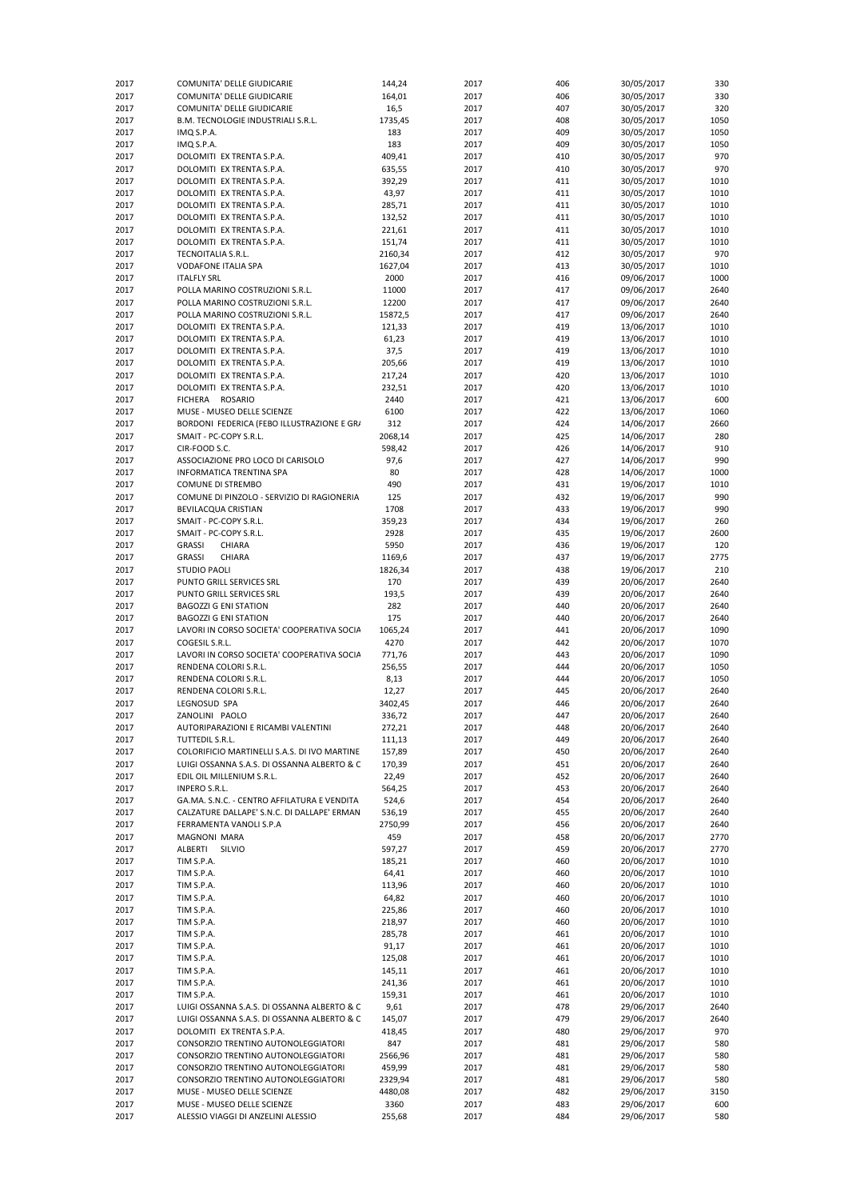| 2017         | COMUNITA' DELLE GIUDICARIE                             | 144,24           | 2017         | 406        | 30/05/2017               | 330          |
|--------------|--------------------------------------------------------|------------------|--------------|------------|--------------------------|--------------|
| 2017         | COMUNITA' DELLE GIUDICARIE                             | 164,01           | 2017         | 406        | 30/05/2017               | 330          |
| 2017         | COMUNITA' DELLE GIUDICARIE                             | 16,5             | 2017         | 407        | 30/05/2017               | 320          |
| 2017         | B.M. TECNOLOGIE INDUSTRIALI S.R.L.                     | 1735,45          | 2017         | 408        | 30/05/2017               | 1050         |
| 2017         | IMQ S.P.A.                                             | 183              | 2017         | 409        | 30/05/2017               | 1050         |
| 2017         | IMQ S.P.A.                                             | 183              | 2017         | 409        | 30/05/2017               | 1050         |
| 2017         | DOLOMITI EX TRENTA S.P.A.                              | 409,41           | 2017         | 410        | 30/05/2017               | 970          |
| 2017         | DOLOMITI EX TRENTA S.P.A.                              | 635,55           | 2017         | 410        | 30/05/2017               | 970          |
| 2017         | DOLOMITI EX TRENTA S.P.A.                              | 392,29           | 2017         | 411        | 30/05/2017               | 1010         |
| 2017         | DOLOMITI EX TRENTA S.P.A.                              | 43,97            | 2017         | 411        | 30/05/2017               | 1010         |
| 2017         | DOLOMITI EX TRENTA S.P.A.                              | 285,71           | 2017         | 411        | 30/05/2017               | 1010         |
| 2017         | DOLOMITI EX TRENTA S.P.A.                              | 132,52           | 2017         | 411        | 30/05/2017               | 1010         |
| 2017         | DOLOMITI EX TRENTA S.P.A.                              | 221,61           | 2017         | 411        | 30/05/2017               | 1010         |
| 2017         | DOLOMITI EX TRENTA S.P.A.                              | 151,74           | 2017         | 411        | 30/05/2017               | 1010         |
| 2017         | TECNOITALIA S.R.L.                                     | 2160,34          | 2017         | 412        | 30/05/2017               | 970          |
| 2017         | VODAFONE ITALIA SPA                                    | 1627,04          | 2017         | 413        | 30/05/2017               | 1010         |
| 2017         | <b>ITALFLY SRL</b>                                     | 2000             | 2017         | 416        | 09/06/2017               | 1000         |
| 2017         | POLLA MARINO COSTRUZIONI S.R.L.                        | 11000            | 2017         | 417        | 09/06/2017               | 2640         |
| 2017         | POLLA MARINO COSTRUZIONI S.R.L.                        | 12200            | 2017         | 417        | 09/06/2017               | 2640         |
| 2017         | POLLA MARINO COSTRUZIONI S.R.L.                        | 15872,5          | 2017         | 417        | 09/06/2017               | 2640         |
| 2017         | DOLOMITI EX TRENTA S.P.A.                              | 121,33           | 2017         | 419        | 13/06/2017               | 1010         |
| 2017         | DOLOMITI EX TRENTA S.P.A.                              | 61,23            | 2017         | 419        | 13/06/2017               | 1010         |
| 2017         | DOLOMITI EX TRENTA S.P.A.                              | 37,5             | 2017         | 419        | 13/06/2017               | 1010         |
| 2017<br>2017 | DOLOMITI EX TRENTA S.P.A.<br>DOLOMITI EX TRENTA S.P.A. | 205,66<br>217,24 | 2017<br>2017 | 419<br>420 | 13/06/2017               | 1010<br>1010 |
| 2017         | DOLOMITI EX TRENTA S.P.A.                              | 232,51           | 2017         | 420        | 13/06/2017<br>13/06/2017 | 1010         |
| 2017         | FICHERA ROSARIO                                        | 2440             | 2017         | 421        | 13/06/2017               | 600          |
| 2017         | MUSE - MUSEO DELLE SCIENZE                             | 6100             | 2017         | 422        |                          | 1060         |
| 2017         | BORDONI FEDERICA (FEBO ILLUSTRAZIONE E GR/             | 312              | 2017         | 424        | 13/06/2017<br>14/06/2017 | 2660         |
| 2017         | SMAIT - PC-COPY S.R.L.                                 | 2068,14          | 2017         | 425        | 14/06/2017               | 280          |
| 2017         | CIR-FOOD S.C.                                          | 598,42           | 2017         | 426        |                          | 910          |
| 2017         | ASSOCIAZIONE PRO LOCO DI CARISOLO                      | 97,6             | 2017         | 427        | 14/06/2017<br>14/06/2017 | 990          |
| 2017         | INFORMATICA TRENTINA SPA                               | 80               | 2017         | 428        | 14/06/2017               | 1000         |
| 2017         | <b>COMUNE DI STREMBO</b>                               | 490              | 2017         | 431        | 19/06/2017               | 1010         |
| 2017         | COMUNE DI PINZOLO - SERVIZIO DI RAGIONERIA             | 125              | 2017         | 432        | 19/06/2017               | 990          |
| 2017         | BEVILACQUA CRISTIAN                                    | 1708             | 2017         | 433        | 19/06/2017               | 990          |
| 2017         | SMAIT - PC-COPY S.R.L.                                 | 359,23           | 2017         | 434        | 19/06/2017               | 260          |
| 2017         | SMAIT - PC-COPY S.R.L.                                 | 2928             | 2017         | 435        | 19/06/2017               | 2600         |
| 2017         | GRASSI<br>CHIARA                                       | 5950             | 2017         | 436        | 19/06/2017               | 120          |
| 2017         | <b>GRASSI</b><br>CHIARA                                | 1169,6           | 2017         | 437        | 19/06/2017               | 2775         |
| 2017         | <b>STUDIO PAOLI</b>                                    | 1826,34          | 2017         | 438        | 19/06/2017               | 210          |
| 2017         | PUNTO GRILL SERVICES SRL                               | 170              | 2017         | 439        | 20/06/2017               | 2640         |
| 2017         | PUNTO GRILL SERVICES SRL                               | 193,5            | 2017         | 439        | 20/06/2017               | 2640         |
| 2017         | <b>BAGOZZI G ENI STATION</b>                           | 282              | 2017         | 440        | 20/06/2017               | 2640         |
| 2017         | <b>BAGOZZI G ENI STATION</b>                           | 175              | 2017         | 440        | 20/06/2017               | 2640         |
| 2017         | LAVORI IN CORSO SOCIETA' COOPERATIVA SOCIA             | 1065,24          | 2017         | 441        | 20/06/2017               | 1090         |
| 2017         | COGESIL S.R.L.                                         | 4270             | 2017         | 442        | 20/06/2017               | 1070         |
| 2017         | LAVORI IN CORSO SOCIETA' COOPERATIVA SOCIA             | 771,76           | 2017         | 443        | 20/06/2017               | 1090         |
| 2017         | RENDENA COLORI S.R.L.                                  | 256,55           | 2017         | 444        | 20/06/2017               | 1050         |
| 2017         | RENDENA COLORI S.R.L.                                  | 8,13             | 2017         | 444        | 20/06/2017               | 1050         |
| 2017         | RENDENA COLORI S.R.L.                                  | 12,27            | 2017         | 445        | 20/06/2017               | 2640         |
| 2017         | LEGNOSUD SPA                                           | 3402,45          | 2017         | 446        | 20/06/2017               | 2640         |
| 2017         | ZANOLINI PAOLO                                         | 336,72           | 2017         | 447        | 20/06/2017               | 2640         |
| 2017         | AUTORIPARAZIONI E RICAMBI VALENTINI                    | 272,21           | 2017         | 448        | 20/06/2017               | 2640         |
| 2017         | TUTTEDIL S.R.L.                                        | 111,13           | 2017         | 449        | 20/06/2017               | 2640         |
| 2017         | COLORIFICIO MARTINELLI S.A.S. DI IVO MARTINE           | 157,89           | 2017         | 450        | 20/06/2017               | 2640         |
| 2017         | LUIGI OSSANNA S.A.S. DI OSSANNA ALBERTO & C            | 170,39           | 2017         | 451        | 20/06/2017               | 2640         |
| 2017         | EDIL OIL MILLENIUM S.R.L.                              | 22,49            | 2017         | 452        | 20/06/2017               | 2640         |
| 2017         | INPERO S.R.L.                                          | 564,25           | 2017         | 453        | 20/06/2017               | 2640         |
| 2017         | GA.MA. S.N.C. - CENTRO AFFILATURA E VENDITA            | 524,6            | 2017         | 454        | 20/06/2017               | 2640         |
| 2017         | CALZATURE DALLAPE' S.N.C. DI DALLAPE' ERMAN            | 536,19           | 2017         | 455        | 20/06/2017               | 2640         |
| 2017         | FERRAMENTA VANOLI S.P.A                                | 2750,99          | 2017         | 456        | 20/06/2017               | 2640         |
| 2017         | MAGNONI MARA                                           | 459              | 2017         | 458        | 20/06/2017               | 2770         |
| 2017         | ALBERTI SILVIO                                         | 597,27           | 2017         | 459        | 20/06/2017               | 2770         |
| 2017         | TIM S.P.A.                                             | 185,21           | 2017         | 460        | 20/06/2017               | 1010         |
| 2017         | TIM S.P.A.                                             | 64,41            | 2017         | 460        | 20/06/2017               | 1010         |
| 2017         | TIM S.P.A.                                             | 113,96           | 2017         | 460        | 20/06/2017               | 1010         |
| 2017         | TIM S.P.A.                                             | 64,82            | 2017         | 460        | 20/06/2017               | 1010         |
| 2017         | TIM S.P.A.                                             | 225,86           | 2017         | 460        | 20/06/2017               | 1010         |
| 2017         | TIM S.P.A.                                             | 218,97           | 2017         | 460        | 20/06/2017               | 1010         |
| 2017         | TIM S.P.A.                                             | 285,78           | 2017         | 461        | 20/06/2017               | 1010         |
| 2017         | TIM S.P.A.                                             | 91,17            | 2017         | 461        | 20/06/2017               | 1010         |
| 2017         | TIM S.P.A.                                             | 125,08           | 2017         | 461        | 20/06/2017               | 1010         |
| 2017         | TIM S.P.A.                                             | 145,11           | 2017         | 461        | 20/06/2017               | 1010         |
| 2017         | TIM S.P.A.                                             | 241,36           | 2017         | 461        | 20/06/2017               | 1010         |
| 2017         | TIM S.P.A.                                             | 159,31           | 2017         | 461        | 20/06/2017               | 1010         |
| 2017         | LUIGI OSSANNA S.A.S. DI OSSANNA ALBERTO & C            | 9,61             | 2017         | 478        | 29/06/2017               | 2640         |
| 2017         | LUIGI OSSANNA S.A.S. DI OSSANNA ALBERTO & C            | 145,07           | 2017         | 479        | 29/06/2017               | 2640         |
| 2017         | DOLOMITI EX TRENTA S.P.A.                              | 418,45           | 2017         | 480        | 29/06/2017               | 970          |
| 2017         | CONSORZIO TRENTINO AUTONOLEGGIATORI                    | 847              | 2017         | 481        | 29/06/2017               | 580          |
| 2017         | CONSORZIO TRENTINO AUTONOLEGGIATORI                    | 2566,96          | 2017         | 481        | 29/06/2017               | 580          |
| 2017         | CONSORZIO TRENTINO AUTONOLEGGIATORI                    | 459,99           | 2017         | 481        | 29/06/2017               | 580          |
| 2017         | CONSORZIO TRENTINO AUTONOLEGGIATORI                    | 2329,94          | 2017         | 481        | 29/06/2017               | 580          |
| 2017         | MUSE - MUSEO DELLE SCIENZE                             | 4480,08          | 2017         | 482        | 29/06/2017               | 3150         |
| 2017         | MUSE - MUSEO DELLE SCIENZE                             | 3360             | 2017         | 483        | 29/06/2017               | 600          |
| 2017         | ALESSIO VIAGGI DI ANZELINI ALESSIO                     | 255,68           | 2017         | 484        | 29/06/2017               | 580          |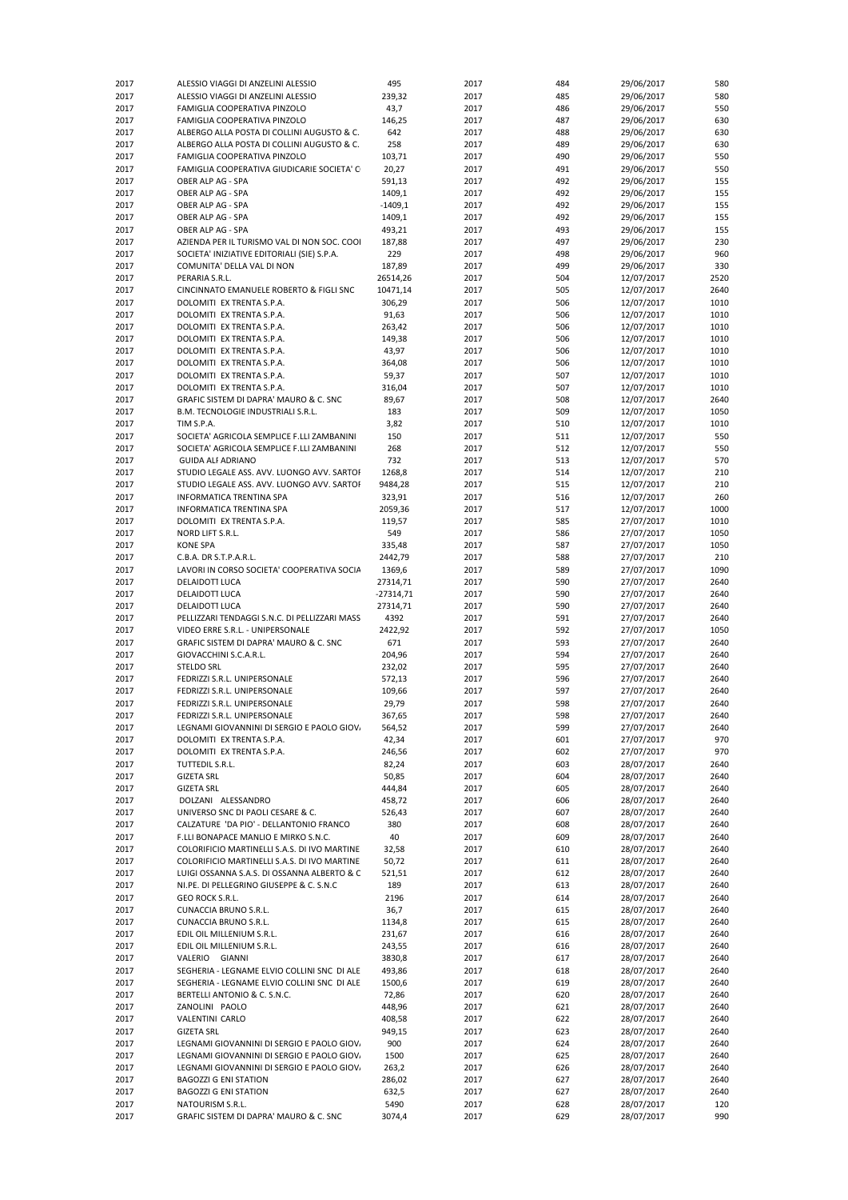| 2017         | ALESSIO VIAGGI DI ANZELINI ALESSIO                     | 495             | 2017         | 484        | 29/06/2017               | 580          |
|--------------|--------------------------------------------------------|-----------------|--------------|------------|--------------------------|--------------|
| 2017         | ALESSIO VIAGGI DI ANZELINI ALESSIO                     | 239,32          | 2017         | 485        | 29/06/2017               | 580          |
| 2017         | FAMIGLIA COOPERATIVA PINZOLO                           | 43,7            | 2017         | 486        | 29/06/2017               | 550          |
| 2017         | FAMIGLIA COOPERATIVA PINZOLO                           | 146,25          | 2017         | 487        | 29/06/2017               | 630          |
| 2017         | ALBERGO ALLA POSTA DI COLLINI AUGUSTO & C.             | 642             | 2017         | 488        | 29/06/2017               | 630          |
| 2017         | ALBERGO ALLA POSTA DI COLLINI AUGUSTO & C.             | 258             | 2017         | 489        | 29/06/2017               | 630          |
| 2017         | FAMIGLIA COOPERATIVA PINZOLO                           | 103,71          | 2017         | 490        | 29/06/2017               | 550          |
| 2017         | FAMIGLIA COOPERATIVA GIUDICARIE SOCIETA' C             | 20,27           | 2017         | 491        | 29/06/2017               | 550          |
| 2017         | OBER ALP AG - SPA                                      | 591,13          | 2017         | 492        | 29/06/2017               | 155          |
| 2017         | OBER ALP AG - SPA                                      | 1409,1          | 2017         | 492        | 29/06/2017               | 155          |
| 2017         | OBER ALP AG - SPA                                      | $-1409,1$       | 2017         | 492        | 29/06/2017               | 155          |
| 2017         | OBER ALP AG - SPA                                      | 1409,1          | 2017         | 492        | 29/06/2017               | 155          |
| 2017         | OBER ALP AG - SPA                                      | 493,21          | 2017         | 493        | 29/06/2017               | 155          |
| 2017         | AZIENDA PER IL TURISMO VAL DI NON SOC. COOI            | 187,88          | 2017         | 497        | 29/06/2017               | 230          |
| 2017         | SOCIETA' INIZIATIVE EDITORIALI (SIE) S.P.A.            | 229             | 2017         | 498        | 29/06/2017               | 960          |
| 2017         | COMUNITA' DELLA VAL DI NON                             | 187,89          | 2017         | 499        | 29/06/2017               | 330          |
| 2017         | PERARIA S.R.L.                                         | 26514,26        | 2017         | 504        | 12/07/2017               | 2520         |
| 2017         | CINCINNATO EMANUELE ROBERTO & FIGLI SNC                | 10471,14        | 2017         | 505        | 12/07/2017               | 2640         |
| 2017         | DOLOMITI EX TRENTA S.P.A.                              | 306,29          | 2017         | 506        | 12/07/2017               | 1010         |
| 2017         | DOLOMITI EX TRENTA S.P.A.                              | 91,63           | 2017         | 506        | 12/07/2017               | 1010         |
| 2017         | DOLOMITI EX TRENTA S.P.A.                              | 263,42          | 2017         | 506        | 12/07/2017               | 1010         |
| 2017         | DOLOMITI EX TRENTA S.P.A.                              | 149,38          | 2017         | 506        | 12/07/2017               | 1010         |
| 2017         | DOLOMITI EX TRENTA S.P.A.                              | 43,97           | 2017         | 506        | 12/07/2017               | 1010         |
| 2017         | DOLOMITI EX TRENTA S.P.A.<br>DOLOMITI EX TRENTA S.P.A. | 364,08          | 2017         | 506<br>507 | 12/07/2017               | 1010<br>1010 |
| 2017<br>2017 | DOLOMITI EX TRENTA S.P.A.                              | 59,37<br>316,04 | 2017<br>2017 | 507        | 12/07/2017<br>12/07/2017 | 1010         |
| 2017         | GRAFIC SISTEM DI DAPRA' MAURO & C. SNC                 | 89,67           | 2017         | 508        | 12/07/2017               | 2640         |
|              | B.M. TECNOLOGIE INDUSTRIALI S.R.L.                     | 183             | 2017         |            | 12/07/2017               | 1050         |
| 2017<br>2017 | TIM S.P.A.                                             | 3,82            | 2017         | 509<br>510 | 12/07/2017               | 1010         |
| 2017         | SOCIETA' AGRICOLA SEMPLICE F.LLI ZAMBANINI             | 150             | 2017         |            |                          | 550          |
| 2017         | SOCIETA' AGRICOLA SEMPLICE F.LLI ZAMBANINI             | 268             | 2017         | 511<br>512 | 12/07/2017               | 550          |
| 2017         | <b>GUIDA ALF ADRIANO</b>                               | 732             | 2017         | 513        | 12/07/2017<br>12/07/2017 | 570          |
| 2017         | STUDIO LEGALE ASS. AVV. LUONGO AVV. SARTOF             | 1268,8          | 2017         | 514        | 12/07/2017               | 210          |
| 2017         | STUDIO LEGALE ASS. AVV. LUONGO AVV. SARTOI             | 9484,28         | 2017         | 515        | 12/07/2017               | 210          |
| 2017         | <b>INFORMATICA TRENTINA SPA</b>                        | 323,91          | 2017         | 516        | 12/07/2017               | 260          |
| 2017         | INFORMATICA TRENTINA SPA                               | 2059,36         | 2017         | 517        | 12/07/2017               | 1000         |
| 2017         | DOLOMITI EX TRENTA S.P.A.                              | 119,57          | 2017         | 585        | 27/07/2017               | 1010         |
| 2017         | NORD LIFT S.R.L.                                       | 549             | 2017         | 586        | 27/07/2017               | 1050         |
| 2017         | <b>KONE SPA</b>                                        | 335,48          | 2017         | 587        | 27/07/2017               | 1050         |
| 2017         | C.B.A. DR S.T.P.A.R.L.                                 | 2442,79         | 2017         | 588        | 27/07/2017               | 210          |
| 2017         | LAVORI IN CORSO SOCIETA' COOPERATIVA SOCIA             | 1369,6          | 2017         | 589        | 27/07/2017               | 1090         |
| 2017         | DELAIDOTT LUCA                                         | 27314,71        | 2017         | 590        | 27/07/2017               | 2640         |
| 2017         | DELAIDOTT LUCA                                         | $-27314,71$     | 2017         | 590        | 27/07/2017               | 2640         |
| 2017         | DELAIDOTT LUCA                                         | 27314,71        | 2017         | 590        | 27/07/2017               | 2640         |
| 2017         | PELLIZZARI TENDAGGI S.N.C. DI PELLIZZARI MASS          | 4392            | 2017         | 591        | 27/07/2017               | 2640         |
| 2017         | VIDEO ERRE S.R.L. - UNIPERSONALE                       | 2422,92         | 2017         | 592        | 27/07/2017               | 1050         |
| 2017         | GRAFIC SISTEM DI DAPRA' MAURO & C. SNC                 | 671             | 2017         | 593        | 27/07/2017               | 2640         |
| 2017         | GIOVACCHINI S.C.A.R.L.                                 | 204,96          | 2017         | 594        | 27/07/2017               | 2640         |
| 2017         | <b>STELDO SRL</b>                                      | 232,02          | 2017         | 595        | 27/07/2017               | 2640         |
| 2017         | FEDRIZZI S.R.L. UNIPERSONALE                           | 572,13          | 2017         | 596        | 27/07/2017               | 2640         |
| 2017         | FEDRIZZI S.R.L. UNIPERSONALE                           | 109,66          | 2017         | 597        | 27/07/2017               | 2640         |
| 2017         | FEDRIZZI S.R.L. UNIPERSONALE                           | 29,79           | 2017         | 598        | 27/07/2017               | 2640         |
| 2017         | FEDRIZZI S.R.L. UNIPERSONALE                           | 367,65          | 2017         | 598        | 27/07/2017               | 2640         |
| 2017         | LEGNAMI GIOVANNINI DI SERGIO E PAOLO GIOV.             | 564,52          | 2017         | 599        | 27/07/2017               | 2640         |
| 2017         | DOLOMITI EX TRENTA S.P.A.                              | 42,34           | 2017         | 601        | 27/07/2017               | 970          |
| 2017         | DOLOMITI EX TRENTA S.P.A.                              | 246,56          | 2017         | 602        | 27/07/2017               | 970          |
| 2017         | TUTTEDIL S.R.L.                                        | 82,24           | 2017         | 603        | 28/07/2017               | 2640         |
| 2017         | <b>GIZETA SRL</b>                                      | 50,85           | 2017         | 604        | 28/07/2017               | 2640         |
| 2017         | <b>GIZETA SRL</b>                                      | 444,84          | 2017         | 605        | 28/07/2017               | 2640         |
| 2017         | DOLZANI ALESSANDRO                                     | 458,72          | 2017         | 606        | 28/07/2017               | 2640         |
| 2017         | UNIVERSO SNC DI PAOLI CESARE & C.                      | 526,43          | 2017         | 607        | 28/07/2017               | 2640         |
| 2017         | CALZATURE 'DA PIO' - DELLANTONIO FRANCO                | 380             | 2017         | 608        | 28/07/2017               | 2640         |
| 2017         | F.LLI BONAPACE MANLIO E MIRKO S.N.C.                   | 40              | 2017         | 609        | 28/07/2017               | 2640         |
| 2017         | COLORIFICIO MARTINELLI S.A.S. DI IVO MARTINE           | 32,58           | 2017         | 610        | 28/07/2017               | 2640         |
| 2017         | COLORIFICIO MARTINELLI S.A.S. DI IVO MARTINE           | 50,72           | 2017         | 611        | 28/07/2017               | 2640         |
| 2017         | LUIGI OSSANNA S.A.S. DI OSSANNA ALBERTO & C            | 521,51          | 2017         | 612        | 28/07/2017               | 2640         |
| 2017         | NI.PE. DI PELLEGRINO GIUSEPPE & C. S.N.C               | 189             | 2017         | 613        | 28/07/2017               | 2640         |
| 2017         |                                                        |                 | 2017         | 614        |                          | 2640         |
|              | GEO ROCK S.R.L.                                        | 2196            |              |            | 28/07/2017               |              |
| 2017         | CUNACCIA BRUNO S.R.L.                                  |                 | 2017         | 615        | 28/07/2017               | 2640         |
| 2017         | CUNACCIA BRUNO S.R.L.                                  | 36,7<br>1134,8  | 2017         | 615        | 28/07/2017               | 2640         |
| 2017         | EDIL OIL MILLENIUM S.R.L.                              | 231,67          | 2017         | 616        | 28/07/2017               | 2640         |
| 2017         | EDIL OIL MILLENIUM S.R.L.                              | 243,55          | 2017         | 616        | 28/07/2017               | 2640         |
| 2017         | VALERIO GIANNI                                         | 3830,8          | 2017         | 617        | 28/07/2017               | 2640         |
| 2017         | SEGHERIA - LEGNAME ELVIO COLLINI SNC DI ALE            | 493,86          | 2017         | 618        | 28/07/2017               | 2640         |
| 2017         | SEGHERIA - LEGNAME ELVIO COLLINI SNC DI ALE            | 1500,6          | 2017         | 619        | 28/07/2017               | 2640         |
| 2017         | BERTELLI ANTONIO & C. S.N.C.                           | 72,86           | 2017         | 620        | 28/07/2017               | 2640         |
| 2017         | ZANOLINI PAOLO                                         | 448,96          | 2017         | 621        | 28/07/2017               | 2640         |
| 2017         | VALENTINI CARLO                                        | 408,58          | 2017         | 622        | 28/07/2017               | 2640         |
| 2017         | <b>GIZETA SRL</b>                                      | 949,15          | 2017         | 623        | 28/07/2017               | 2640         |
| 2017         | LEGNAMI GIOVANNINI DI SERGIO E PAOLO GIOV.             | 900             | 2017         | 624        | 28/07/2017               | 2640         |
| 2017         | LEGNAMI GIOVANNINI DI SERGIO E PAOLO GIOV.             | 1500            | 2017         | 625        | 28/07/2017               | 2640         |
| 2017         | LEGNAMI GIOVANNINI DI SERGIO E PAOLO GIOV.             | 263,2           | 2017         | 626        | 28/07/2017               | 2640         |
| 2017         | <b>BAGOZZI G ENI STATION</b>                           | 286,02          | 2017         | 627        | 28/07/2017               | 2640         |
| 2017         | <b>BAGOZZI G ENI STATION</b>                           | 632,5           | 2017         | 627        | 28/07/2017               | 2640         |
| 2017         | NATOURISM S.R.L.                                       | 5490            | 2017         | 628        | 28/07/2017               | 120          |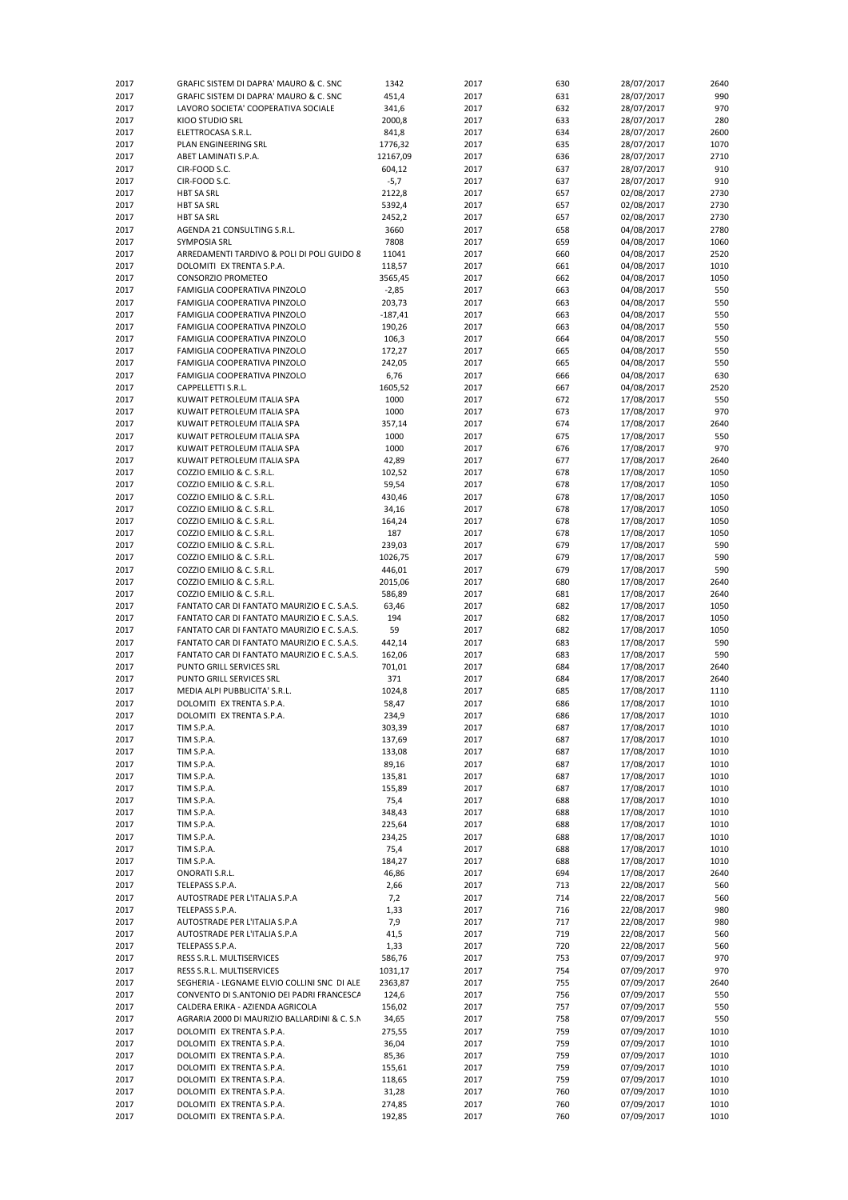| 2017 | GRAFIC SISTEM DI DAPRA' MAURO & C. SNC       | 1342      | 2017 | 630 | 28/07/2017 | 2640 |
|------|----------------------------------------------|-----------|------|-----|------------|------|
| 2017 | GRAFIC SISTEM DI DAPRA' MAURO & C. SNC       | 451,4     | 2017 | 631 | 28/07/2017 | 990  |
| 2017 | LAVORO SOCIETA' COOPERATIVA SOCIALE          | 341,6     | 2017 | 632 | 28/07/2017 | 970  |
| 2017 | KIOO STUDIO SRL                              | 2000,8    | 2017 | 633 | 28/07/2017 | 280  |
| 2017 | ELETTROCASA S.R.L.                           | 841,8     | 2017 | 634 | 28/07/2017 | 2600 |
| 2017 | PLAN ENGINEERING SRL                         | 1776,32   | 2017 | 635 | 28/07/2017 | 1070 |
| 2017 | ABET LAMINATI S.P.A.                         | 12167,09  | 2017 | 636 | 28/07/2017 | 2710 |
| 2017 | CIR-FOOD S.C.                                | 604,12    | 2017 | 637 | 28/07/2017 | 910  |
| 2017 | CIR-FOOD S.C.                                | $-5,7$    | 2017 | 637 | 28/07/2017 | 910  |
|      |                                              |           |      |     |            |      |
| 2017 | <b>HBT SA SRL</b>                            | 2122,8    | 2017 | 657 | 02/08/2017 | 2730 |
| 2017 | <b>HBT SA SRL</b>                            | 5392,4    | 2017 | 657 | 02/08/2017 | 2730 |
| 2017 | <b>HBT SA SRL</b>                            | 2452,2    | 2017 | 657 | 02/08/2017 | 2730 |
| 2017 | AGENDA 21 CONSULTING S.R.L.                  | 3660      | 2017 | 658 | 04/08/2017 | 2780 |
| 2017 | SYMPOSIA SRL                                 | 7808      | 2017 | 659 | 04/08/2017 | 1060 |
| 2017 | ARREDAMENTI TARDIVO & POLI DI POLI GUIDO 8   | 11041     | 2017 | 660 | 04/08/2017 | 2520 |
| 2017 | DOLOMITI EX TRENTA S.P.A.                    | 118,57    | 2017 | 661 | 04/08/2017 | 1010 |
| 2017 | CONSORZIO PROMETEO                           | 3565,45   | 2017 | 662 | 04/08/2017 | 1050 |
|      |                                              |           |      |     |            |      |
| 2017 | FAMIGLIA COOPERATIVA PINZOLO                 | $-2,85$   | 2017 | 663 | 04/08/2017 | 550  |
| 2017 | FAMIGLIA COOPERATIVA PINZOLO                 | 203,73    | 2017 | 663 | 04/08/2017 | 550  |
| 2017 | FAMIGLIA COOPERATIVA PINZOLO                 | $-187,41$ | 2017 | 663 | 04/08/2017 | 550  |
| 2017 | FAMIGLIA COOPERATIVA PINZOLO                 | 190,26    | 2017 | 663 | 04/08/2017 | 550  |
| 2017 | FAMIGLIA COOPERATIVA PINZOLO                 | 106,3     | 2017 | 664 | 04/08/2017 | 550  |
| 2017 | FAMIGLIA COOPERATIVA PINZOLO                 | 172,27    | 2017 | 665 | 04/08/2017 | 550  |
| 2017 | FAMIGLIA COOPERATIVA PINZOLO                 | 242,05    | 2017 | 665 | 04/08/2017 | 550  |
| 2017 | FAMIGLIA COOPERATIVA PINZOLO                 | 6,76      | 2017 | 666 | 04/08/2017 | 630  |
| 2017 | CAPPELLETTI S.R.L.                           | 1605,52   | 2017 | 667 | 04/08/2017 | 2520 |
| 2017 | KUWAIT PETROLEUM ITALIA SPA                  | 1000      | 2017 | 672 | 17/08/2017 | 550  |
|      |                                              |           |      |     |            |      |
| 2017 | KUWAIT PETROLEUM ITALIA SPA                  | 1000      | 2017 | 673 | 17/08/2017 | 970  |
| 2017 | KUWAIT PETROLEUM ITALIA SPA                  | 357,14    | 2017 | 674 | 17/08/2017 | 2640 |
| 2017 | KUWAIT PETROLEUM ITALIA SPA                  | 1000      | 2017 | 675 | 17/08/2017 | 550  |
| 2017 | KUWAIT PETROLEUM ITALIA SPA                  | 1000      | 2017 | 676 | 17/08/2017 | 970  |
| 2017 | KUWAIT PETROLEUM ITALIA SPA                  | 42,89     | 2017 | 677 | 17/08/2017 | 2640 |
| 2017 | COZZIO EMILIO & C. S.R.L.                    | 102,52    | 2017 | 678 | 17/08/2017 | 1050 |
| 2017 | COZZIO EMILIO & C. S.R.L.                    | 59,54     | 2017 | 678 | 17/08/2017 | 1050 |
| 2017 | COZZIO EMILIO & C. S.R.L.                    | 430,46    | 2017 | 678 | 17/08/2017 | 1050 |
|      |                                              |           |      |     |            |      |
| 2017 | COZZIO EMILIO & C. S.R.L.                    | 34,16     | 2017 | 678 | 17/08/2017 | 1050 |
| 2017 | COZZIO EMILIO & C. S.R.L.                    | 164,24    | 2017 | 678 | 17/08/2017 | 1050 |
| 2017 | COZZIO EMILIO & C. S.R.L.                    | 187       | 2017 | 678 | 17/08/2017 | 1050 |
| 2017 | COZZIO EMILIO & C. S.R.L.                    | 239,03    | 2017 | 679 | 17/08/2017 | 590  |
| 2017 | COZZIO EMILIO & C. S.R.L.                    | 1026,75   | 2017 | 679 | 17/08/2017 | 590  |
| 2017 | COZZIO EMILIO & C. S.R.L.                    | 446,01    | 2017 | 679 | 17/08/2017 | 590  |
| 2017 | COZZIO EMILIO & C. S.R.L.                    | 2015,06   | 2017 | 680 | 17/08/2017 | 2640 |
| 2017 | COZZIO EMILIO & C. S.R.L.                    | 586,89    | 2017 | 681 | 17/08/2017 | 2640 |
| 2017 | FANTATO CAR DI FANTATO MAURIZIO E C. S.A.S.  | 63,46     | 2017 | 682 | 17/08/2017 | 1050 |
|      |                                              |           |      |     |            |      |
| 2017 | FANTATO CAR DI FANTATO MAURIZIO E C. S.A.S.  | 194       | 2017 | 682 | 17/08/2017 | 1050 |
| 2017 | FANTATO CAR DI FANTATO MAURIZIO E C. S.A.S.  | 59        | 2017 | 682 | 17/08/2017 | 1050 |
| 2017 | FANTATO CAR DI FANTATO MAURIZIO E C. S.A.S.  | 442,14    | 2017 | 683 | 17/08/2017 | 590  |
| 2017 | FANTATO CAR DI FANTATO MAURIZIO E C. S.A.S.  | 162,06    | 2017 | 683 | 17/08/2017 | 590  |
| 2017 | PUNTO GRILL SERVICES SRL                     | 701,01    | 2017 | 684 | 17/08/2017 | 2640 |
| 2017 | PUNTO GRILL SERVICES SRL                     | 371       | 2017 | 684 | 17/08/2017 | 2640 |
| 2017 | MEDIA ALPI PUBBLICITA' S.R.L.                | 1024,8    | 2017 | 685 | 17/08/2017 | 1110 |
| 2017 | DOLOMITI EX TRENTA S.P.A.                    | 58,47     | 2017 | 686 | 17/08/2017 | 1010 |
| 2017 | DOLOMITI EX TRENTA S.P.A.                    | 234,9     | 2017 | 686 |            | 1010 |
|      |                                              |           |      |     | 17/08/2017 |      |
| 2017 | TIM S.P.A.                                   | 303,39    | 2017 | 687 | 17/08/2017 | 1010 |
| 2017 | TIM S.P.A.                                   | 137,69    | 2017 | 687 | 17/08/2017 | 1010 |
| 2017 | TIM S.P.A.                                   | 133,08    | 2017 | 687 | 17/08/2017 | 1010 |
| 2017 | TIM S.P.A.                                   | 89,16     | 2017 | 687 | 17/08/2017 | 1010 |
| 2017 | TIM S.P.A.                                   | 135,81    | 2017 | 687 | 17/08/2017 | 1010 |
| 2017 | TIM S.P.A.                                   | 155,89    | 2017 | 687 | 17/08/2017 | 1010 |
| 2017 | TIM S.P.A.                                   | 75,4      | 2017 | 688 | 17/08/2017 | 1010 |
| 2017 | TIM S.P.A.                                   | 348,43    | 2017 | 688 | 17/08/2017 | 1010 |
|      |                                              |           | 2017 | 688 | 17/08/2017 | 1010 |
| 2017 | TIM S.P.A.                                   | 225,64    |      |     |            |      |
| 2017 | TIM S.P.A.                                   | 234,25    | 2017 | 688 | 17/08/2017 | 1010 |
| 2017 | TIM S.P.A.                                   | 75,4      | 2017 | 688 | 17/08/2017 | 1010 |
| 2017 | TIM S.P.A.                                   | 184,27    | 2017 | 688 | 17/08/2017 | 1010 |
| 2017 | ONORATI S.R.L.                               | 46,86     | 2017 | 694 | 17/08/2017 | 2640 |
| 2017 | TELEPASS S.P.A.                              | 2,66      | 2017 | 713 | 22/08/2017 | 560  |
| 2017 | AUTOSTRADE PER L'ITALIA S.P.A                | 7,2       | 2017 | 714 | 22/08/2017 | 560  |
| 2017 | TELEPASS S.P.A.                              | 1,33      | 2017 | 716 | 22/08/2017 | 980  |
| 2017 | AUTOSTRADE PER L'ITALIA S.P.A                | 7,9       | 2017 | 717 | 22/08/2017 | 980  |
|      |                                              |           |      |     |            |      |
| 2017 | AUTOSTRADE PER L'ITALIA S.P.A                | 41,5      | 2017 | 719 | 22/08/2017 | 560  |
| 2017 | TELEPASS S.P.A.                              | 1,33      | 2017 | 720 | 22/08/2017 | 560  |
| 2017 | RESS S.R.L. MULTISERVICES                    | 586,76    | 2017 | 753 | 07/09/2017 | 970  |
| 2017 | RESS S.R.L. MULTISERVICES                    | 1031,17   | 2017 | 754 | 07/09/2017 | 970  |
| 2017 | SEGHERIA - LEGNAME ELVIO COLLINI SNC DI ALE  | 2363,87   | 2017 | 755 | 07/09/2017 | 2640 |
| 2017 | CONVENTO DI S.ANTONIO DEI PADRI FRANCESCA    | 124,6     | 2017 | 756 | 07/09/2017 | 550  |
| 2017 | CALDERA ERIKA - AZIENDA AGRICOLA             | 156,02    | 2017 | 757 | 07/09/2017 | 550  |
| 2017 | AGRARIA 2000 DI MAURIZIO BALLARDINI & C. S.N | 34,65     | 2017 | 758 | 07/09/2017 | 550  |
| 2017 | DOLOMITI EX TRENTA S.P.A.                    | 275,55    | 2017 | 759 | 07/09/2017 | 1010 |
|      | DOLOMITI EX TRENTA S.P.A.                    |           | 2017 | 759 | 07/09/2017 | 1010 |
| 2017 |                                              | 36,04     |      |     |            |      |
| 2017 | DOLOMITI EX TRENTA S.P.A.                    | 85,36     | 2017 | 759 | 07/09/2017 | 1010 |
| 2017 | DOLOMITI EX TRENTA S.P.A.                    | 155,61    | 2017 | 759 | 07/09/2017 | 1010 |
| 2017 | DOLOMITI EX TRENTA S.P.A.                    | 118,65    | 2017 | 759 | 07/09/2017 | 1010 |
| 2017 | DOLOMITI EX TRENTA S.P.A.                    | 31,28     | 2017 | 760 | 07/09/2017 | 1010 |
| 2017 | DOLOMITI EX TRENTA S.P.A.                    | 274,85    | 2017 | 760 | 07/09/2017 | 1010 |
| 2017 | DOLOMITI EX TRENTA S.P.A.                    | 192,85    | 2017 | 760 | 07/09/2017 | 1010 |
|      |                                              |           |      |     |            |      |